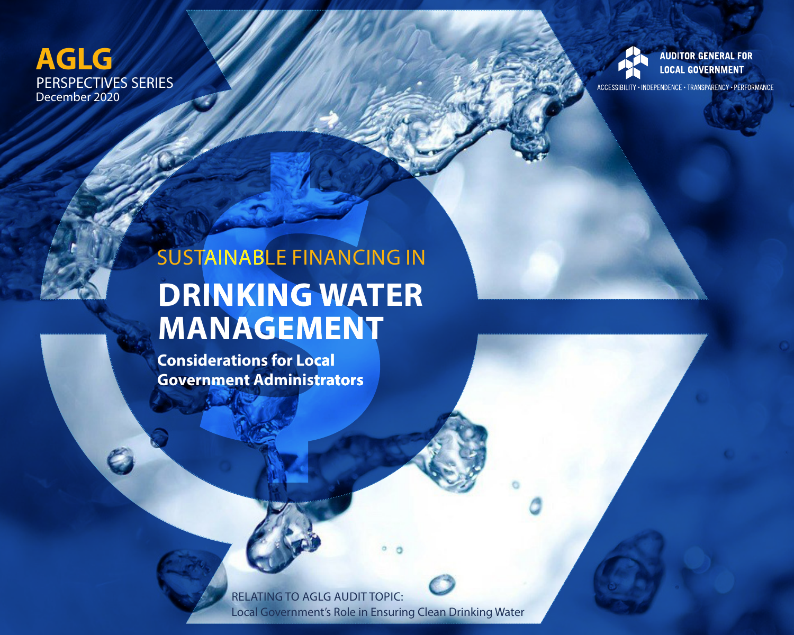### **AGLG** PERSPECTIVES SERIES December 2020



ACCESSIBILITY . INDEPENDENCE . TRANSPARENCY . PERFORMANCE

# SUSTAINABLE FINANCING IN **DRINKING WATER MANAGEMENT**

**Considerations for Local Government Administrators** 

> RELATING TO AGLG AUDIT TOPIC: Local Government's Role in Ensuring Clean Drinking Water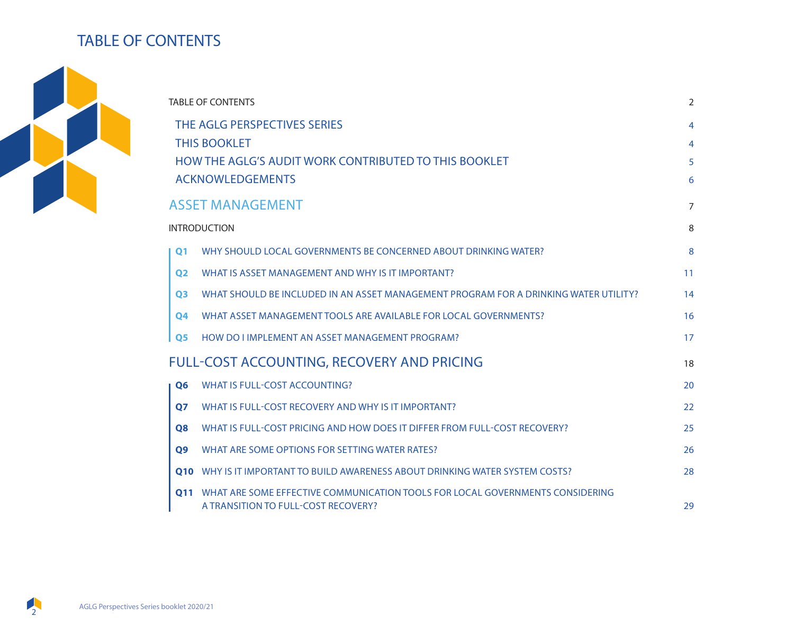### TABLE OF CONTENTS



| <b>TABLE OF CONTENTS</b>                              |                                                                                                                      |                |  |  |
|-------------------------------------------------------|----------------------------------------------------------------------------------------------------------------------|----------------|--|--|
| THE AGLG PERSPECTIVES SERIES<br><b>THIS BOOKLET</b>   |                                                                                                                      |                |  |  |
| HOW THE AGLG'S AUDIT WORK CONTRIBUTED TO THIS BOOKLET |                                                                                                                      |                |  |  |
|                                                       | <b>ACKNOWLEDGEMENTS</b>                                                                                              | 6              |  |  |
|                                                       | <b>ASSET MANAGEMENT</b>                                                                                              | $\overline{7}$ |  |  |
| <b>INTRODUCTION</b>                                   |                                                                                                                      |                |  |  |
| $\Omega$ 1                                            | WHY SHOULD LOCAL GOVERNMENTS BE CONCERNED ABOUT DRINKING WATER?                                                      | 8              |  |  |
| 02                                                    | WHAT IS ASSET MANAGEMENT AND WHY IS IT IMPORTANT?                                                                    | 11             |  |  |
| <b>Q3</b>                                             | WHAT SHOULD BE INCLUDED IN AN ASSET MANAGEMENT PROGRAM FOR A DRINKING WATER UTILITY?                                 | 14             |  |  |
| <b>Q4</b>                                             | WHAT ASSET MANAGEMENT TOOLS ARE AVAILABLE FOR LOCAL GOVERNMENTS?                                                     | 16             |  |  |
| <b>O5</b>                                             | HOW DO I IMPLEMENT AN ASSET MANAGEMENT PROGRAM?                                                                      | 17             |  |  |
| <b>FULL-COST ACCOUNTING, RECOVERY AND PRICING</b>     |                                                                                                                      |                |  |  |
| Q <sub>6</sub>                                        | <b>WHAT IS FULL-COST ACCOUNTING?</b>                                                                                 | 20             |  |  |
| <b>Q7</b>                                             | WHAT IS FULL-COST RECOVERY AND WHY IS IT IMPORTANT?                                                                  | 22             |  |  |
| <b>Q8</b>                                             | WHAT IS FULL-COST PRICING AND HOW DOES IT DIFFER FROM FULL-COST RECOVERY?                                            | 25             |  |  |
| Q <sub>9</sub>                                        | WHAT ARE SOME OPTIONS FOR SETTING WATER RATES?                                                                       | 26             |  |  |
| 010                                                   | WHY IS IT IMPORTANT TO BUILD AWARENESS ABOUT DRINKING WATER SYSTEM COSTS?                                            | 28             |  |  |
| 011                                                   | WHAT ARE SOME EFFECTIVE COMMUNICATION TOOLS FOR LOCAL GOVERNMENTS CONSIDERING<br>A TRANSITION TO FULL-COST RECOVERY? | 29             |  |  |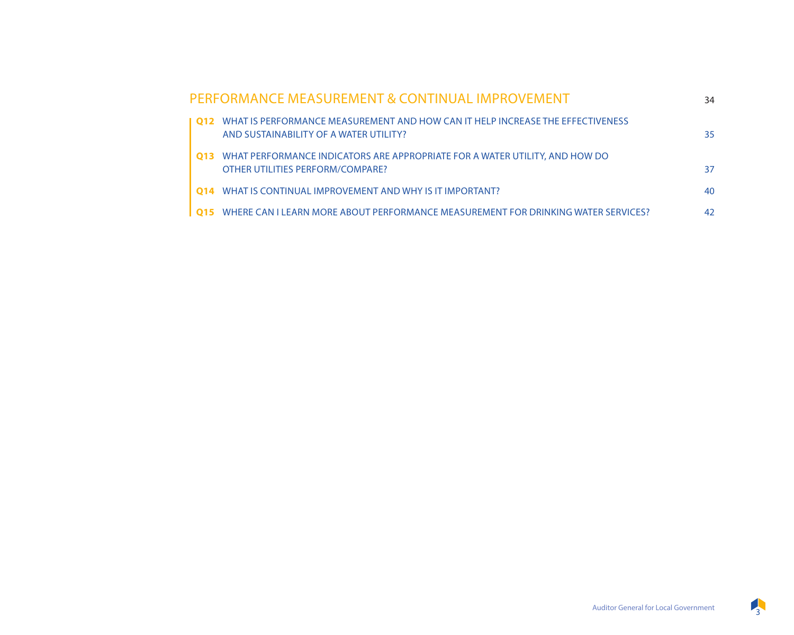|       | PERFORMANCE MEASUREMENT & CONTINUAL IMPROVEMENT                                                                          | 34 |
|-------|--------------------------------------------------------------------------------------------------------------------------|----|
| l 012 | WHAT IS PERFORMANCE MEASUREMENT AND HOW CAN IT HELP INCREASE THE EFFECTIVENESS<br>AND SUSTAINABILITY OF A WATER UTILITY? | 35 |
| 013   | WHAT PERFORMANCE INDICATORS ARE APPROPRIATE FOR A WATER UTILITY. AND HOW DO<br>OTHER UTILITIES PERFORM/COMPARE?          | 37 |
| 014   | WHAT IS CONTINUAL IMPROVEMENT AND WHY IS IT IMPORTANT?                                                                   | 40 |
| l 015 | WHERE CAN I LEARN MORE ABOUT PERFORMANCE MEASUREMENT FOR DRINKING WATER SERVICES?                                        | 42 |

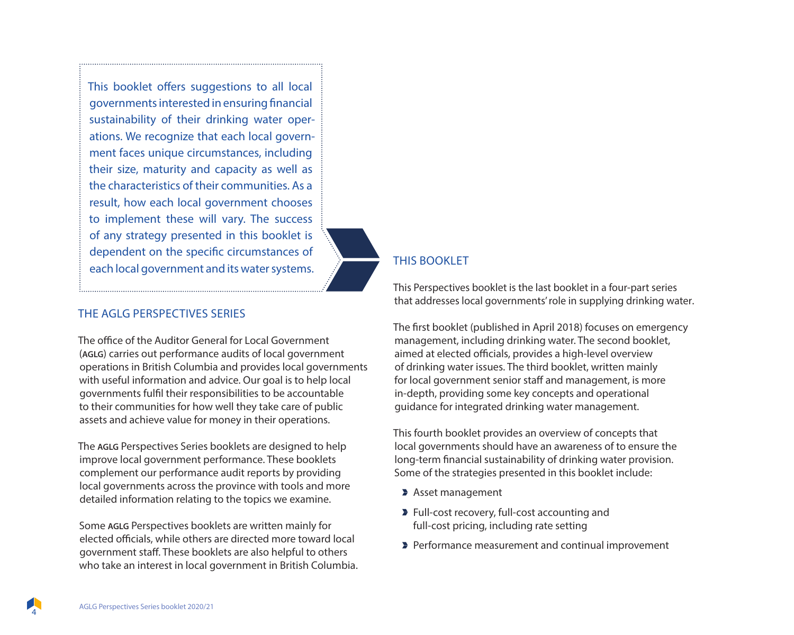This booklet offers suggestions to all local governments interested in ensuring financial sustainability of their drinking water operations. We recognize that each local government faces unique circumstances, including their size, maturity and capacity as well as the characteristics of their communities. As a result, how each local government chooses to implement these will vary. The success of any strategy presented in this booklet is dependent on the specific circumstances of each local government and its water systems.

#### THE AGLG PERSPECTIVES SERIES

The office of the Auditor General for Local Government (**AGLG**) carries out performance audits of local government operations in British Columbia and provides local governments with useful information and advice. Our goal is to help local governments fulfil their responsibilities to be accountable to their communities for how well they take care of public assets and achieve value for money in their operations.

The **AGLG** Perspectives Series booklets are designed to help improve local government performance. These booklets complement our performance audit reports by providing local governments across the province with tools and more detailed information relating to the topics we examine.

Some **AGLG** Perspectives booklets are written mainly for elected officials, while others are directed more toward local government staff. These booklets are also helpful to others who take an interest in local government in British Columbia.

#### THIS BOOKLET

This Perspectives booklet is the last booklet in a four-part series that addresses local governments' role in supplying drinking water.

The first booklet (published in April 2018) focuses on emergency management, including drinking water. The second booklet, aimed at elected officials, provides a high-level overview of drinking water issues. The third booklet, written mainly for local government senior staff and management, is more in-depth, providing some key concepts and operational guidance for integrated drinking water management.

This fourth booklet provides an overview of concepts that local governments should have an awareness of to ensure the long-term financial sustainability of drinking water provision. Some of the strategies presented in this booklet include:

- Asset management
- **Full-cost recovery, full-cost accounting and** full-cost pricing, including rate setting
- **Performance measurement and continual improvement**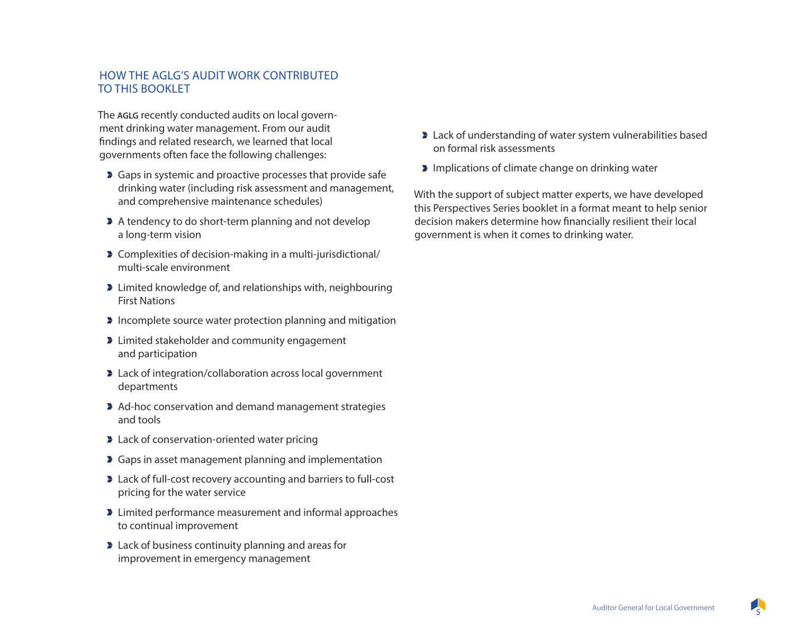#### HOW THE AGLG'S AUDIT WORK CONTRIBUTED TO THIS BOOKLET

The **AGLG** recently conducted audits on local government drinking water management. From our audit findings and related research, we learned that local governments often face the following challenges:

- **Gaps in systemic and proactive processes that provide safe** drinking water (including risk assessment and management, and comprehensive maintenance schedules)
- A tendency to do short-term planning and not develop a long-term vision
- Complexities of decision-making in a multi-jurisdictional/ multi-scale environment
- **EX** Limited knowledge of, and relationships with, neighbouring First Nations
- **Incomplete source water protection planning and mitigation**
- **EXECUTE:** Limited stakeholder and community engagement and participation
- **Example 2** Lack of integration/collaboration across local government departments
- Ad-hoc conservation and demand management strategies and tools
- **Example 2** Lack of conservation-oriented water pricing
- **Gaps in asset management planning and implementation**
- **D** Lack of full-cost recovery accounting and barriers to full-cost pricing for the water service
- **EXECUTE:** Limited performance measurement and informal approaches to continual improvement
- **Example 2** Lack of business continuity planning and areas for improvement in emergency management
- **Example 2** Lack of understanding of water system vulnerabilities based on formal risk assessments
- **Implications of climate change on drinking water**

With the support of subject matter experts, we have developed this Perspectives Series booklet in a format meant to help senior decision makers determine how financially resilient their local government is when it comes to drinking water.

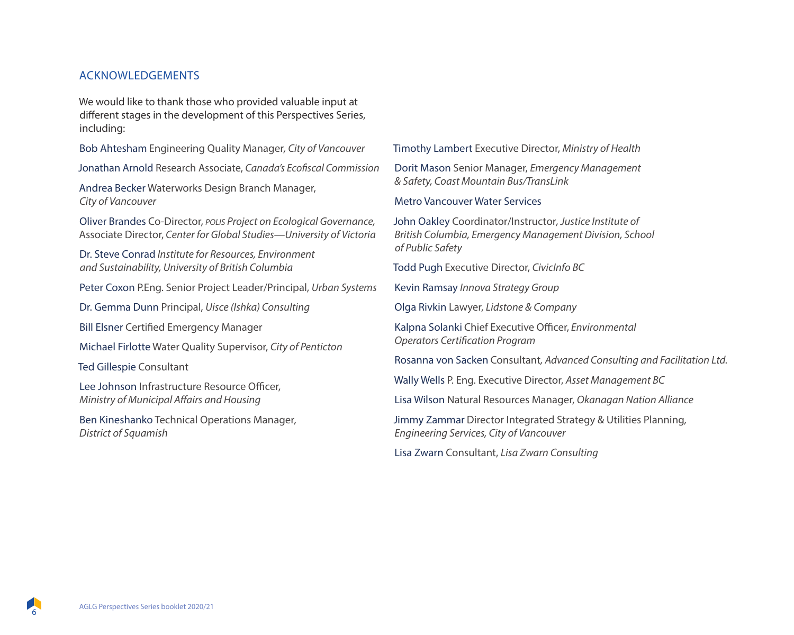#### ACKNOWLEDGEMENTS

We would like to thank those who provided valuable input at different stages in the development of this Perspectives Series, including:

Bob Ahtesham Engineering Quality Manager*, City of Vancouver*

Jonathan Arnold Research Associate, *Canada's Ecofiscal Commission*

Andrea Becker Waterworks Design Branch Manager, *City of Vancouver*

Oliver Brandes Co-Director, *polis Project on Ecological Governance,*  Associate Director, *Center for Global Studies—University of Victoria*

Dr. Steve Conrad *Institute for Resources, Environment and Sustainability, University of British Columbia* 

Peter Coxon P.Eng. Senior Project Leader/Principal, *Urban Systems*

Dr. Gemma Dunn Principal, *Uisce (Ishka) Consulting* 

Bill Elsner Certified Emergency Manager

Michael Firlotte Water Quality Supervisor, *City of Penticton*

Ted Gillespie Consultant

Lee Johnson Infrastructure Resource Officer, *Ministry of Municipal Affairs and Housing* 

Ben Kineshanko Technical Operations Manager*, District of Squamish*

Timothy Lambert Executive Director, *Ministry of Health* 

Dorit Mason Senior Manager, *Emergency Management & Safety, Coast Mountain Bus/TransLink* 

Metro Vancouver Water Services

John Oakley Coordinator/Instructor*, Justice Institute of British Columbia, Emergency Management Division, School of Public Safety*

Todd Pugh Executive Director, *CivicInfo BC* 

Kevin Ramsay *Innova Strategy Group*

Olga Rivkin Lawyer, *Lidstone & Company* 

Kalpna Solanki Chief Executive Officer, *Environmental Operators Certification Program*

Rosanna von Sacken Consultant*, Advanced Consulting and Facilitation Ltd.*

Wally Wells P. Eng. Executive Director, *Asset Management BC*

Lisa Wilson Natural Resources Manager, *Okanagan Nation Alliance*

Jimmy Zammar Director Integrated Strategy & Utilities Planning*, Engineering Services, City of Vancouver*

Lisa Zwarn Consultant, *Lisa Zwarn Consulting*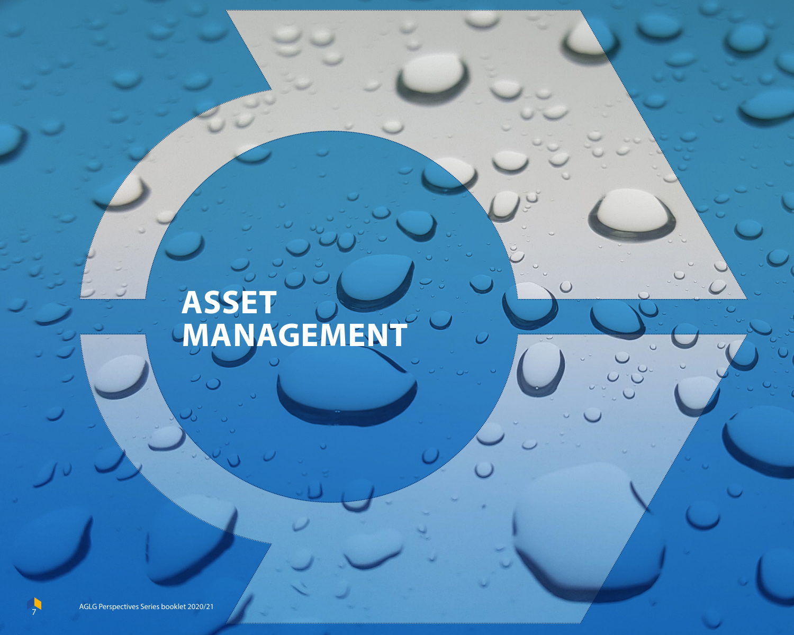# **ASSET MANAGEMENT**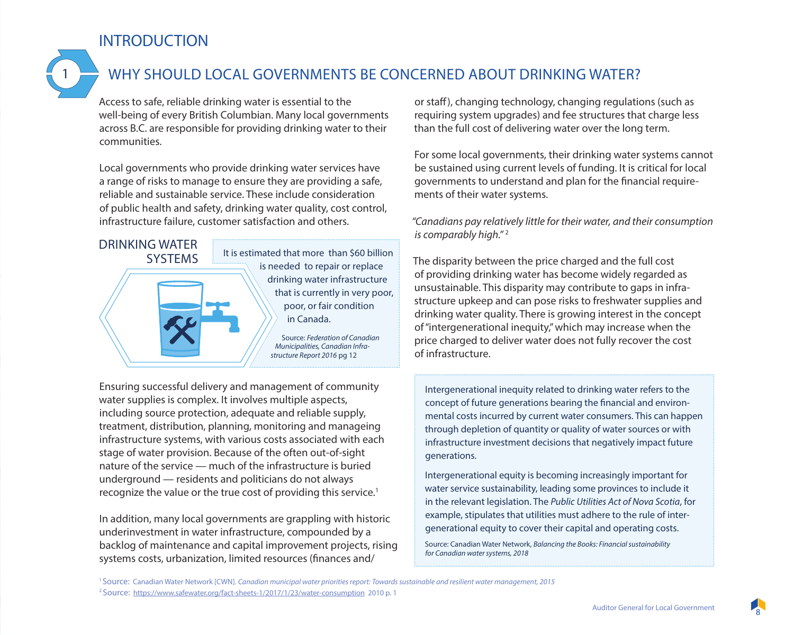### **INTRODUCTION**



### WHY SHOULD LOCAL GOVERNMENTS BE CONCERNED ABOUT DRINKING WATER?

Access to safe, reliable drinking water is essential to the well-being of every British Columbian. Many local governments across B.C. are responsible for providing drinking water to their communities.

Local governments who provide drinking water services have a range of risks to manage to ensure they are providing a safe, reliable and sustainable service. These include consideration of public health and safety, drinking water quality, cost control, infrastructure failure, customer satisfaction and others.



Ensuring successful delivery and management of community water supplies is complex. It involves multiple aspects, including source protection, adequate and reliable supply, treatment, distribution, planning, monitoring and manageing infrastructure systems, with various costs associated with each stage of water provision. Because of the often out-of-sight nature of the service — much of the infrastructure is buried underground — residents and politicians do not always recognize the value or the true cost of providing this service.<sup>1</sup>

In addition, many local governments are grappling with historic underinvestment in water infrastructure, compounded by a backlog of maintenance and capital improvement projects, rising systems costs, urbanization, limited resources (finances and/

or staff), changing technology, changing regulations (such as requiring system upgrades) and fee structures that charge less than the full cost of delivering water over the long term.

For some local governments, their drinking water systems cannot be sustained using current levels of funding. It is critical for local governments to understand and plan for the financial requirements of their water systems.

*"Canadians pay relatively little for their water, and their consumption is comparably high."* <sup>2</sup>

The disparity between the price charged and the full cost of providing drinking water has become widely regarded as unsustainable. This disparity may contribute to gaps in infrastructure upkeep and can pose risks to freshwater supplies and drinking water quality. There is growing interest in the concept of "intergenerational inequity," which may increase when the price charged to deliver water does not fully recover the cost of infrastructure.

Intergenerational inequity related to drinking water refers to the concept of future generations bearing the financial and environmental costs incurred by current water consumers. This can happen through depletion of quantity or quality of water sources or with infrastructure investment decisions that negatively impact future generations.

Intergenerational equity is becoming increasingly important for water service sustainability, leading some provinces to include it in the relevant legislation. The *Public Utilities Act of Nova Scotia*, for example, stipulates that utilities must adhere to the rule of intergenerational equity to cover their capital and operating costs.

Source: Canadian Water Network, *Balancing the Books: Financial sustainability for Canadian water systems, 2018*

1 Source: Canadian Water Network [CWN]. *Canadian municipal water priorities report: Towards sustainable and resilient water management, 2015* 2 Source: https://www.safewater.org/fact-sheets-1/2017/1/23/water-consumption 2010 p. 1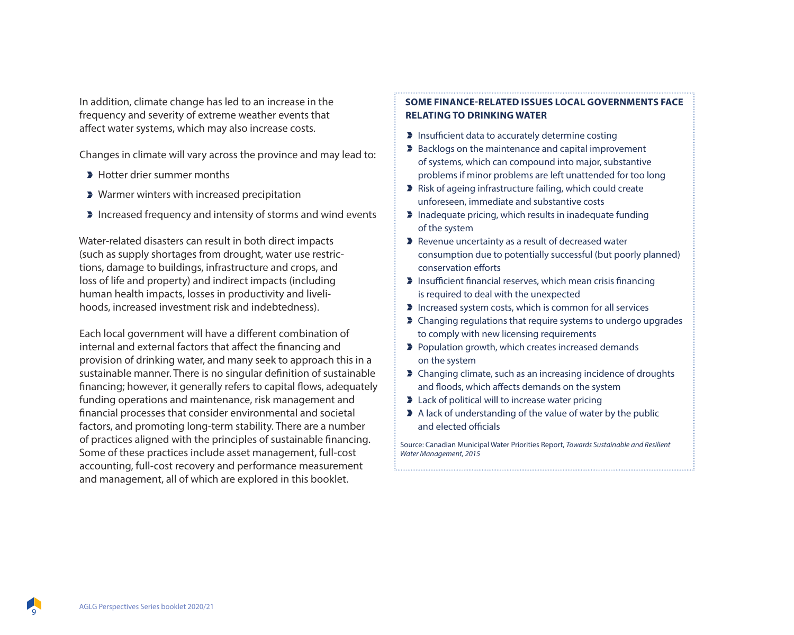In addition, climate change has led to an increase in the frequency and severity of extreme weather events that affect water systems, which may also increase costs.

Changes in climate will vary across the province and may lead to:

- **Hotter drier summer months**
- **> Warmer winters with increased precipitation**
- **Increased frequency and intensity of storms and wind events**

Water-related disasters can result in both direct impacts (such as supply shortages from drought, water use restrictions, damage to buildings, infrastructure and crops, and loss of life and property) and indirect impacts (including human health impacts, losses in productivity and livelihoods, increased investment risk and indebtedness).

Each local government will have a different combination of internal and external factors that affect the financing and provision of drinking water, and many seek to approach this in a sustainable manner. There is no singular definition of sustainable financing; however, it generally refers to capital flows, adequately funding operations and maintenance, risk management and financial processes that consider environmental and societal factors, and promoting long-term stability. There are a number of practices aligned with the principles of sustainable financing. Some of these practices include asset management, full-cost accounting, full-cost recovery and performance measurement and management, all of which are explored in this booklet.

#### **SOME FINANCE-RELATED ISSUES LOCAL GOVERNMENTS FACE RELATING TO DRINKING WATER**

- **Insufficient data to accurately determine costing**
- **Backlogs on the maintenance and capital improvement** of systems, which can compound into major, substantive problems if minor problems are left unattended for too long
- Risk of ageing infrastructure failing, which could create unforeseen, immediate and substantive costs
- $\blacktriangleright$  Inadequate pricing, which results in inadequate funding of the system
- Revenue uncertainty as a result of decreased water consumption due to potentially successful (but poorly planned) conservation efforts
- **Insufficient financial reserves, which mean crisis financing** is required to deal with the unexpected
- Increased system costs, which is common for all services
- **D** Changing regulations that require systems to undergo upgrades to comply with new licensing requirements
- **Population growth, which creates increased demands** on the system
- **Changing climate, such as an increasing incidence of droughts** and floods, which affects demands on the system
- **Example 2** Lack of political will to increase water pricing
- A lack of understanding of the value of water by the public and elected officials

Source: Canadian Municipal Water Priorities Report, *Towards Sustainable and Resilient Water Management, 2015*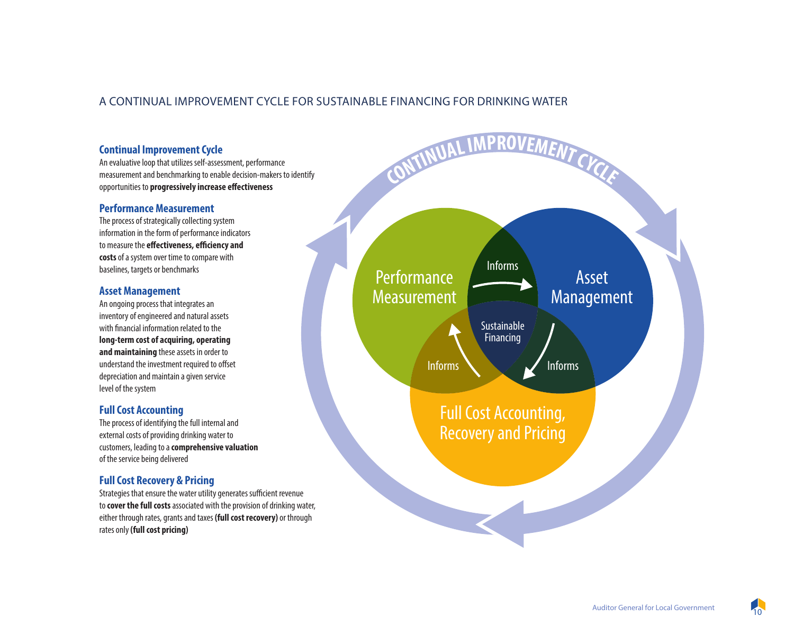#### A CONTINUAL IMPROVEMENT CYCLE FOR SUSTAINABLE FINANCING FOR DRINKING WATER

#### **Continual Improvement Cycle Continual Improvement Cycle**

An evaluative loop that utilizes self-assessment, performance An evaluative loop that utilizes self-assessment, performance measurement and benchmarking to enable decision-makers to identify measurement and benchmarking to enable decision-makers to identify opportunities to **progressively increase effectiveness** 

#### **Performance Measurement Performance Measurement**

The process of strategically collecting system The process of strategically collecting system information in the form of performance indicators information in the form of performance indicators to measure the **effectiveness, efficiency and costs** of a system over time to compare with **costs** of a system over time to compare with baselines, targets or benchmarks baselines, targets or benchmarks

#### **Asset Management Asset Management**

An ongoing process that integrates an An ongoing process that integrates an inventory of engineered and natural assets inventory of engineered and natural assets with financial information related to the **long-term cost of acquiring, operating long-term cost of acquiring, operating and maintaining** these assets in order to **and maintaining** these assets in order to understand the investment required to offset depreciation and maintain a given service depreciation and maintain a given service level of the system level of the system

#### **Full Cost Accounting Full Cost Accounting**

The process of identifying the full internal and The process of identifying the full internal and external costs of providing drinking water to external costs of providing drinking water to customers, leading to a **comprehensive valuation** customers, leading to a **comprehensive valuation** of the service being delivered of the service being delivered

#### **Full Cost Recovery & Pricing Full Cost Recovery & Pricing**

Strategies that ensure the water utility generates sufficient revenue to **cover the full costs** associated with the provision of drinking water, to **cover the full costs** associated with the provision of drinking water, either through rates, grants and taxes **(full cost recovery)** or through either through rates, grants and taxes **(full cost recovery)** or through rates only **(full cost pricing)** rates only **(full cost pricing)**

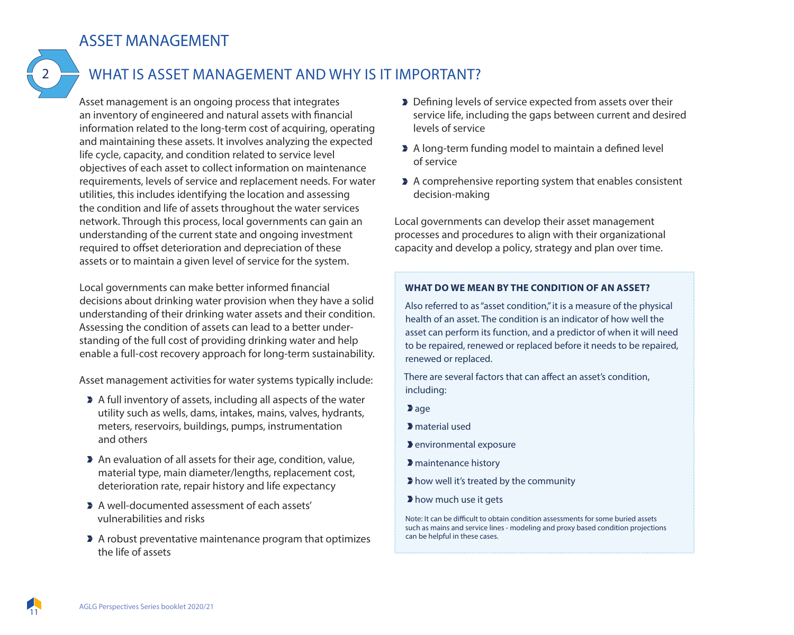### ASSET MANAGEMENT

# 2

### WHAT IS ASSET MANAGEMENT AND WHY IS IT IMPORTANT?

Asset management is an ongoing process that integrates an inventory of engineered and natural assets with financial information related to the long-term cost of acquiring, operating and maintaining these assets. It involves analyzing the expected life cycle, capacity, and condition related to service level objectives of each asset to collect information on maintenance requirements, levels of service and replacement needs. For water utilities, this includes identifying the location and assessing the condition and life of assets throughout the water services network. Through this process, local governments can gain an understanding of the current state and ongoing investment required to offset deterioration and depreciation of these assets or to maintain a given level of service for the system.

Local governments can make better informed financial decisions about drinking water provision when they have a solid understanding of their drinking water assets and their condition. Assessing the condition of assets can lead to a better understanding of the full cost of providing drinking water and help enable a full-cost recovery approach for long-term sustainability.

Asset management activities for water systems typically include:

- A full inventory of assets, including all aspects of the water utility such as wells, dams, intakes, mains, valves, hydrants, meters, reservoirs, buildings, pumps, instrumentation and others
- An evaluation of all assets for their age, condition, value, material type, main diameter/lengths, replacement cost, deterioration rate, repair history and life expectancy
- A well-documented assessment of each assets' vulnerabilities and risks
- A robust preventative maintenance program that optimizes the life of assets
- Defining levels of service expected from assets over their service life, including the gaps between current and desired levels of service
- A long-term funding model to maintain a defined level of service
- A comprehensive reporting system that enables consistent decision-making

Local governments can develop their asset management processes and procedures to align with their organizational capacity and develop a policy, strategy and plan over time.

#### **WHAT DO WE MEAN BY THE CONDITION OF AN ASSET?**

Also referred to as "asset condition," it is a measure of the physical health of an asset. The condition is an indicator of how well the asset can perform its function, and a predictor of when it will need to be repaired, renewed or replaced before it needs to be repaired, renewed or replaced.

There are several factors that can affect an asset's condition, including:

**a**ge

- material used
- environmental exposure
- maintenance history
- how well it's treated by the community
- how much use it gets

Note: It can be difficult to obtain condition assessments for some buried assets such as mains and service lines - modeling and proxy based condition projections can be helpful in these cases.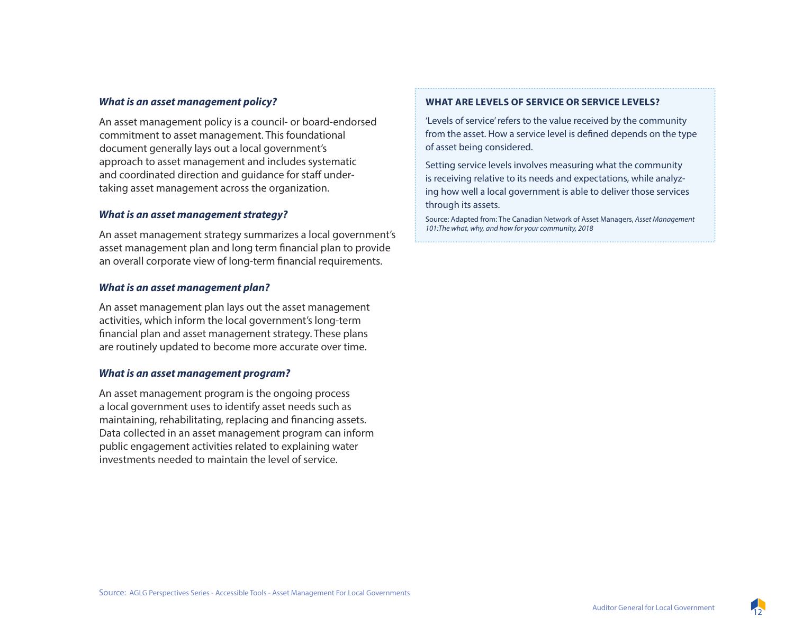#### *What is an asset management policy?*

An asset management policy is a council- or board-endorsed commitment to asset management. This foundational document generally lays out a local government's approach to asset management and includes systematic and coordinated direction and guidance for staff undertaking asset management across the organization.

#### *What is an asset management strategy?*

An asset management strategy summarizes a local government's asset management plan and long term financial plan to provide an overall corporate view of long-term financial requirements.

#### *What is an asset management plan?*

An asset management plan lays out the asset management activities, which inform the local government's long-term financial plan and asset management strategy. These plans are routinely updated to become more accurate over time.

#### *What is an asset management program?*

An asset management program is the ongoing process a local government uses to identify asset needs such as maintaining, rehabilitating, replacing and financing assets. Data collected in an asset management program can inform public engagement activities related to explaining water investments needed to maintain the level of service.

#### **WHAT ARE LEVELS OF SERVICE OR SERVICE LEVELS?**

'Levels of service' refers to the value received by the community from the asset. How a service level is defined depends on the type of asset being considered.

Setting service levels involves measuring what the community is receiving relative to its needs and expectations, while analyzing how well a local government is able to deliver those services through its assets.

Source: Adapted from: The Canadian Network of Asset Managers, *Asset Management 101:The what, why, and how for your community, 2018* 

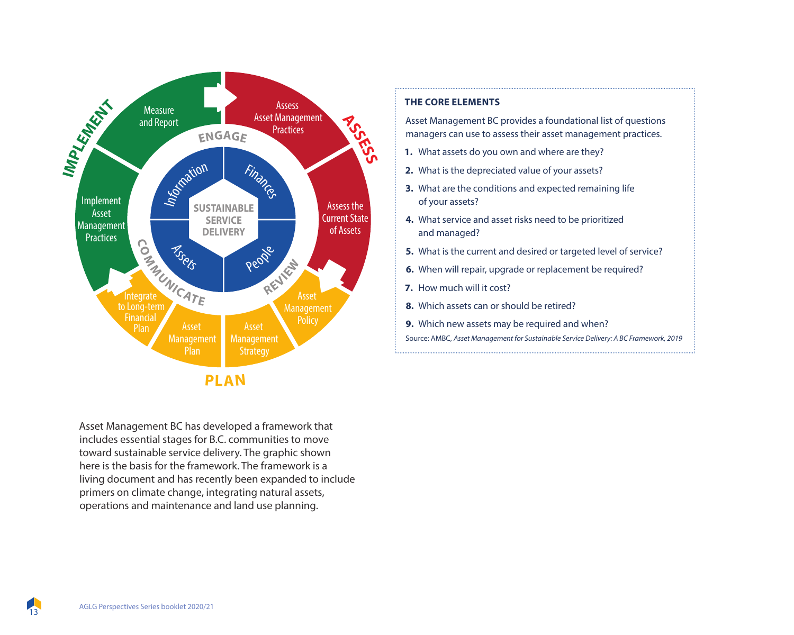

Asset Management BC has developed a framework that includes essential stages for B.C. communities to move toward sustainable service delivery. The graphic shown here is the basis for the framework. The framework is a living document and has recently been expanded to include primers on climate change, integrating natural assets, operations and maintenance and land use planning.

#### **THE CORE ELEMENTS**

Asset Management BC provides a foundational list of questions managers can use to assess their asset management practices.

- **1.** What assets do you own and where are they?
- **2.** What is the depreciated value of your assets?
- **3.** What are the conditions and expected remaining life of your assets?
- **4.** What service and asset risks need to be prioritized and managed?
- **5.** What is the current and desired or targeted level of service?
- **6.** When will repair, upgrade or replacement be required?
- **7.** How much will it cost?
- **8.** Which assets can or should be retired?
- **9.** Which new assets may be required and when?

Source: AMBC, *Asset Management for Sustainable Service Delivery: A BC Framework, 2019*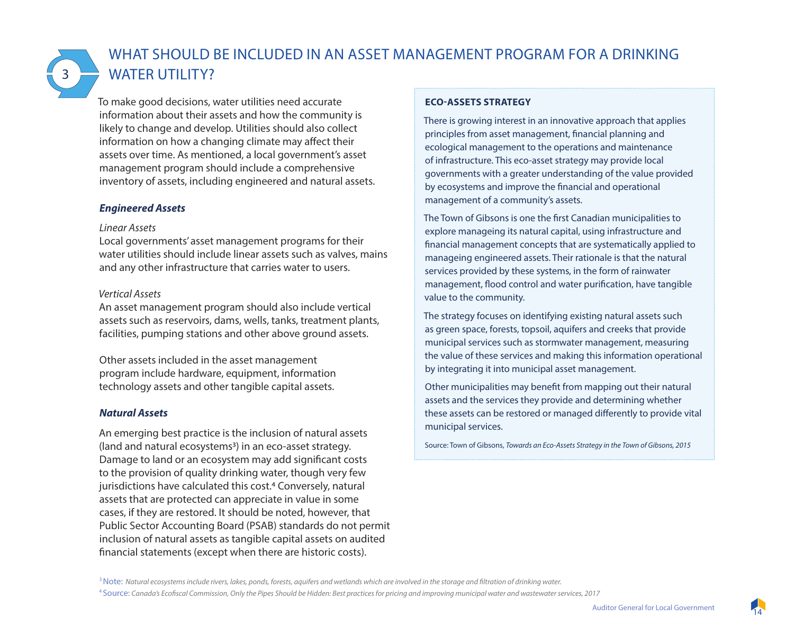3

### WHAT SHOULD BE INCLUDED IN AN ASSET MANAGEMENT PROGRAM FOR A DRINKING WATER UTILITY?

To make good decisions, water utilities need accurate information about their assets and how the community is likely to change and develop. Utilities should also collect information on how a changing climate may affect their assets over time. As mentioned, a local government's asset management program should include a comprehensive inventory of assets, including engineered and natural assets.

#### *Engineered Assets*

#### *Linear Assets*

Local governments' asset management programs for their water utilities should include linear assets such as valves, mains and any other infrastructure that carries water to users.

#### *Vertical Assets*

An asset management program should also include vertical assets such as reservoirs, dams, wells, tanks, treatment plants, facilities, pumping stations and other above ground assets.

Other assets included in the asset management program include hardware, equipment, information technology assets and other tangible capital assets.

#### *Natural Assets*

An emerging best practice is the inclusion of natural assets (land and natural ecosystems3) in an eco-asset strategy. Damage to land or an ecosystem may add significant costs to the provision of quality drinking water, though very few jurisdictions have calculated this cost.<sup>4</sup> Conversely, natural assets that are protected can appreciate in value in some cases, if they are restored. It should be noted, however, that Public Sector Accounting Board (PSAB) standards do not permit inclusion of natural assets as tangible capital assets on audited financial statements (except when there are historic costs).

#### **ECO-ASSETS STRATEGY**

There is growing interest in an innovative approach that applies principles from asset management, financial planning and ecological management to the operations and maintenance of infrastructure. This eco-asset strategy may provide local governments with a greater understanding of the value provided by ecosystems and improve the financial and operational management of a community's assets.

The Town of Gibsons is one the first Canadian municipalities to explore manageing its natural capital, using infrastructure and financial management concepts that are systematically applied to manageing engineered assets. Their rationale is that the natural services provided by these systems, in the form of rainwater management, flood control and water purification, have tangible value to the community.

The strategy focuses on identifying existing natural assets such as green space, forests, topsoil, aquifers and creeks that provide municipal services such as stormwater management, measuring the value of these services and making this information operational by integrating it into municipal asset management.

Other municipalities may benefit from mapping out their natural assets and the services they provide and determining whether these assets can be restored or managed differently to provide vital municipal services.

Source: Town of Gibsons, *Towards an Eco-Assets Strategy in the Town of Gibsons, 2015*

<sup>3</sup> Note: *Natural ecosystems include rivers, lakes, ponds, forests, aquifers and wetlands which are involved in the storage and filtration of drinking water.* 

4 Source: *Canada's Ecofiscal Commission, Only the Pipes Should be Hidden: Best practices for pricing and improving municipal water and wastewater services, 2017*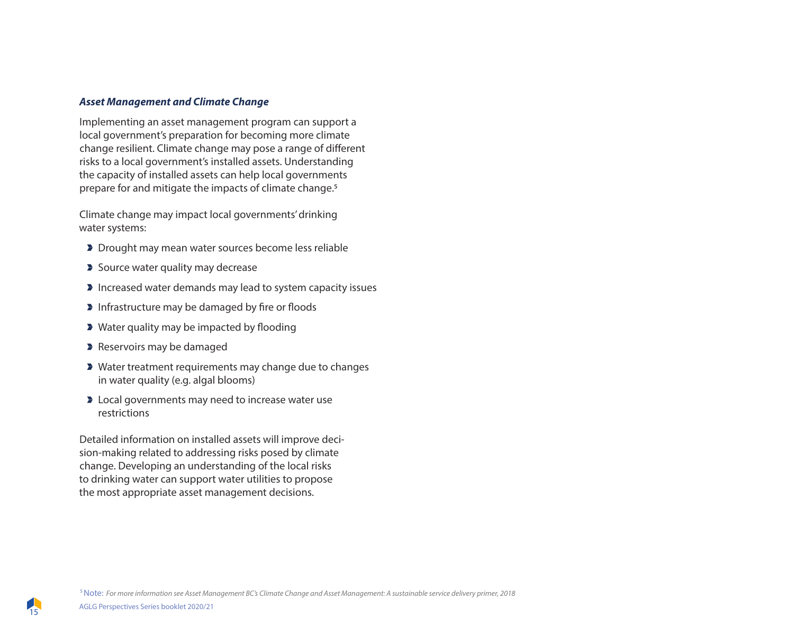#### *Asset Management and Climate Change*

Implementing an asset management program can support a local government's preparation for becoming more climate change resilient. Climate change may pose a range of different risks to a local government's installed assets. Understanding the capacity of installed assets can help local governments prepare for and mitigate the impacts of climate change.<sup>5</sup>

Climate change may impact local governments' drinking water systems:

- Drought may mean water sources become less reliable
- Source water quality may decrease
- **Increased water demands may lead to system capacity issues**
- **Infrastructure may be damaged by fire or floods**
- **>** Water quality may be impacted by flooding
- **Reservoirs may be damaged**
- Water treatment requirements may change due to changes in water quality (e.g. algal blooms)
- **D** Local governments may need to increase water use restrictions

Detailed information on installed assets will improve decision-making related to addressing risks posed by climate change. Developing an understanding of the local risks to drinking water can support water utilities to propose the most appropriate asset management decisions.

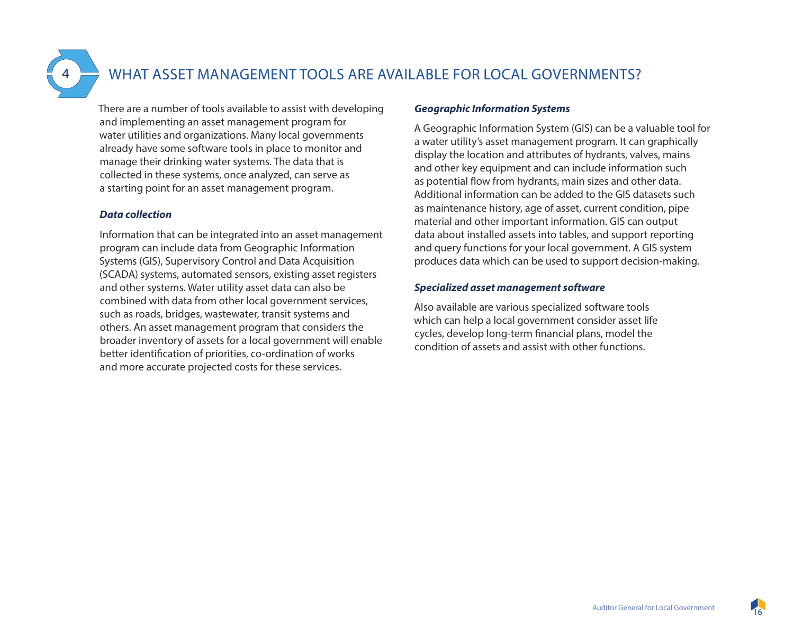### WHAT ASSET MANAGEMENT TOOLS ARE AVAILABLE FOR LOCAL GOVERNMENTS?

There are a number of tools available to assist with developing and implementing an asset management program for water utilities and organizations. Many local governments already have some software tools in place to monitor and manage their drinking water systems. The data that is collected in these systems, once analyzed, can serve as a starting point for an asset management program.

#### *Data collection*

Information that can be integrated into an asset management program can include data from Geographic Information Systems (GIS), Supervisory Control and Data Acquisition (SCADA) systems, automated sensors, existing asset registers and other systems. Water utility asset data can also be combined with data from other local government services, such as roads, bridges, wastewater, transit systems and others. An asset management program that considers the broader inventory of assets for a local government will enable better identification of priorities, co-ordination of works and more accurate projected costs for these services.

#### *Geographic Information Systems*

A Geographic Information System (GIS) can be a valuable tool for a water utility's asset management program. It can graphically display the location and attributes of hydrants, valves, mains and other key equipment and can include information such as potential flow from hydrants, main sizes and other data. Additional information can be added to the GIS datasets such as maintenance history, age of asset, current condition, pipe material and other important information. GIS can output data about installed assets into tables, and support reporting and query functions for your local government. A GIS system produces data which can be used to support decision-making.

#### *Specialized asset management software*

Also available are various specialized software tools which can help a local government consider asset life cycles, develop long-term financial plans, model the condition of assets and assist with other functions.

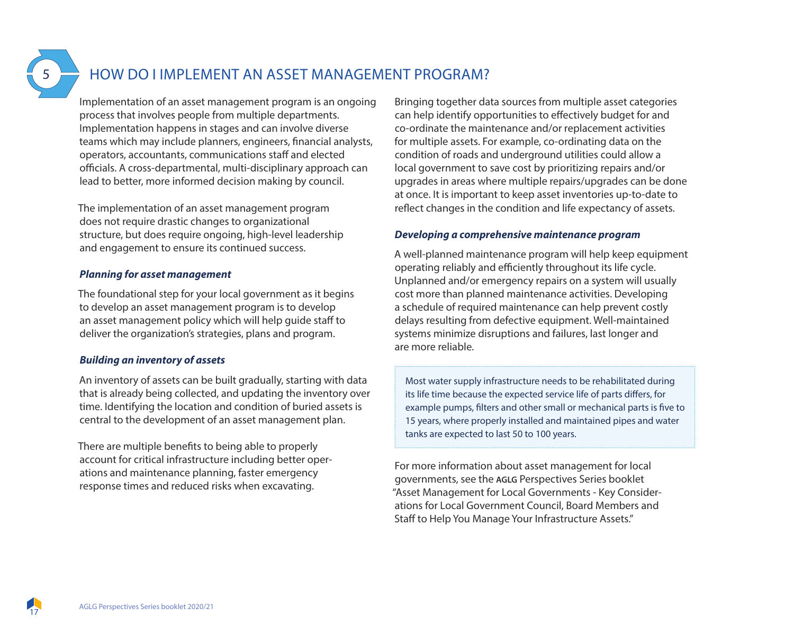### HOW DO I IMPLEMENT AN ASSET MANAGEMENT PROGRAM?

Implementation of an asset management program is an ongoing process that involves people from multiple departments. Implementation happens in stages and can involve diverse teams which may include planners, engineers, financial analysts, operators, accountants, communications staff and elected officials. A cross-departmental, multi-disciplinary approach can lead to better, more informed decision making by council.

The implementation of an asset management program does not require drastic changes to organizational structure, but does require ongoing, high-level leadership and engagement to ensure its continued success.

#### *Planning for asset management*

The foundational step for your local government as it begins to develop an asset management program is to develop an asset management policy which will help guide staff to deliver the organization's strategies, plans and program.

#### *Building an inventory of assets*

An inventory of assets can be built gradually, starting with data that is already being collected, and updating the inventory over time. Identifying the location and condition of buried assets is central to the development of an asset management plan.

There are multiple benefits to being able to properly account for critical infrastructure including better operations and maintenance planning, faster emergency response times and reduced risks when excavating.

Bringing together data sources from multiple asset categories can help identify opportunities to effectively budget for and co-ordinate the maintenance and/or replacement activities for multiple assets. For example, co-ordinating data on the condition of roads and underground utilities could allow a local government to save cost by prioritizing repairs and/or upgrades in areas where multiple repairs/upgrades can be done at once. It is important to keep asset inventories up-to-date to reflect changes in the condition and life expectancy of assets.

#### *Developing a comprehensive maintenance program*

A well-planned maintenance program will help keep equipment operating reliably and efficiently throughout its life cycle. Unplanned and/or emergency repairs on a system will usually cost more than planned maintenance activities. Developing a schedule of required maintenance can help prevent costly delays resulting from defective equipment. Well-maintained systems minimize disruptions and failures, last longer and are more reliable.

Most water supply infrastructure needs to be rehabilitated during its life time because the expected service life of parts differs, for example pumps, filters and other small or mechanical parts is five to 15 years, where properly installed and maintained pipes and water tanks are expected to last 50 to 100 years.

For more information about asset management for local governments, see the **AGLG** Perspectives Series booklet "Asset Management for Local Governments - Key Considerations for Local Government Council, Board Members and Staff to Help You Manage Your Infrastructure Assets."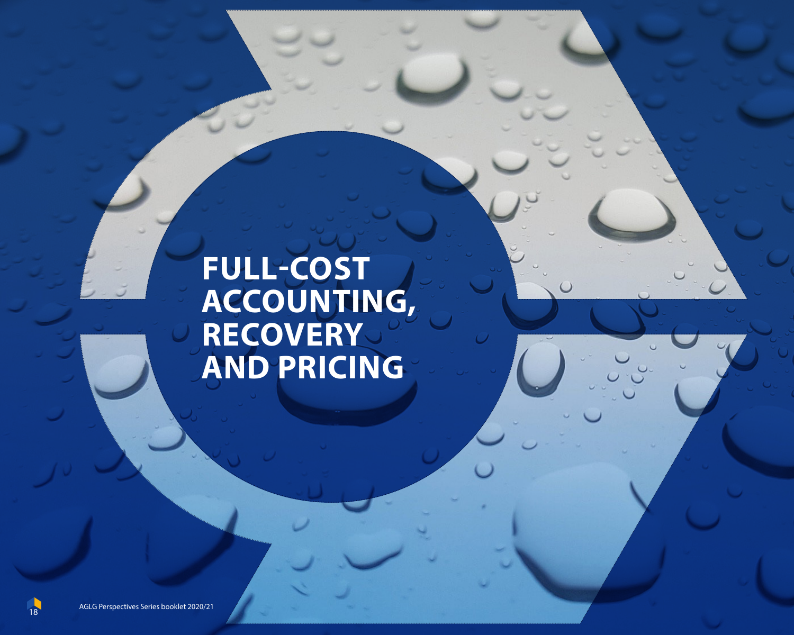# **FULL-COST ACCOUNTING, RECOVERY AND PRICING**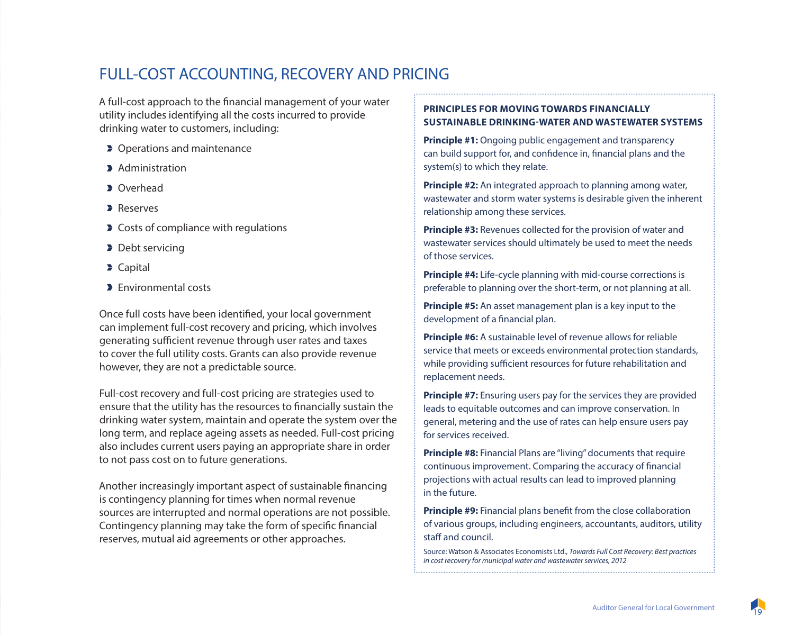### FULL-COST ACCOUNTING, RECOVERY AND PRICING

A full-cost approach to the financial management of your water utility includes identifying all the costs incurred to provide drinking water to customers, including:

- **D** Operations and maintenance
- **Administration**
- **D** Overhead
- **Reserves**
- **Costs of compliance with regulations**
- Debt servicing
- **D** Capital
- **Environmental costs**

Once full costs have been identified, your local government can implement full-cost recovery and pricing, which involves generating sufficient revenue through user rates and taxes to cover the full utility costs. Grants can also provide revenue however, they are not a predictable source.

Full-cost recovery and full-cost pricing are strategies used to ensure that the utility has the resources to financially sustain the drinking water system, maintain and operate the system over the long term, and replace ageing assets as needed. Full-cost pricing also includes current users paying an appropriate share in order to not pass cost on to future generations.

Another increasingly important aspect of sustainable financing is contingency planning for times when normal revenue sources are interrupted and normal operations are not possible. Contingency planning may take the form of specific financial reserves, mutual aid agreements or other approaches.

#### **PRINCIPLES FOR MOVING TOWARDS FINANCIALLY SUSTAINABLE DRINKING-WATER AND WASTEWATER SYSTEMS**

**Principle #1:** Ongoing public engagement and transparency can build support for, and confidence in, financial plans and the system(s) to which they relate.

**Principle #2:** An integrated approach to planning among water, wastewater and storm water systems is desirable given the inherent relationship among these services.

**Principle #3: Revenues collected for the provision of water and** wastewater services should ultimately be used to meet the needs of those services.

**Principle #4:** Life-cycle planning with mid-course corrections is preferable to planning over the short-term, or not planning at all.

**Principle #5:** An asset management plan is a key input to the development of a financial plan.

**Principle #6:** A sustainable level of revenue allows for reliable service that meets or exceeds environmental protection standards, while providing sufficient resources for future rehabilitation and replacement needs.

**Principle #7:** Ensuring users pay for the services they are provided leads to equitable outcomes and can improve conservation. In general, metering and the use of rates can help ensure users pay for services received.

**Principle #8:** Financial Plans are "living" documents that require continuous improvement. Comparing the accuracy of financial projections with actual results can lead to improved planning in the future.

**Principle #9:** Financial plans benefit from the close collaboration of various groups, including engineers, accountants, auditors, utility staff and council.

Source: Watson & Associates Economists Ltd., *Towards Full Cost Recovery: Best practices in cost recovery for municipal water and wastewater services, 2012*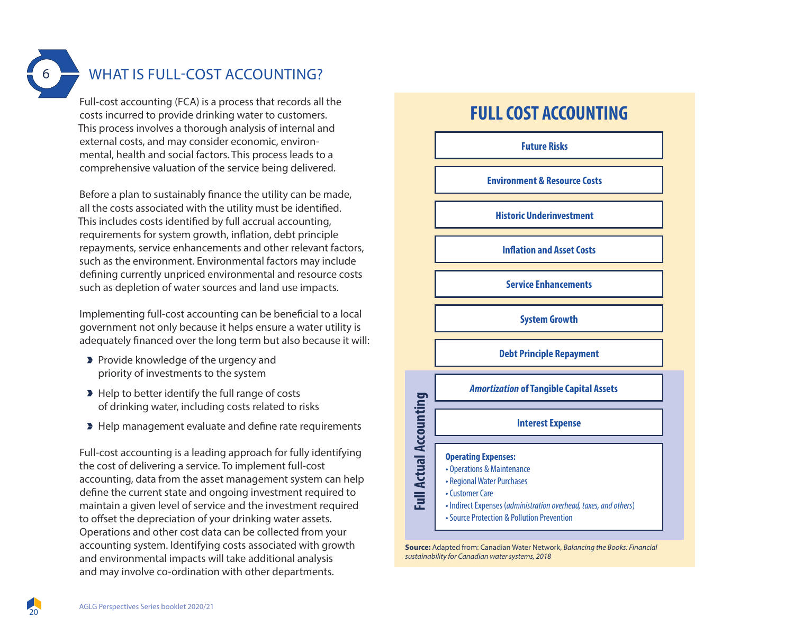### WHAT IS FULL-COST ACCOUNTING?

Full-cost accounting (FCA) is a process that records all the costs incurred to provide drinking water to customers. This process involves a thorough analysis of internal and external costs, and may consider economic, environmental, health and social factors. This process leads to a comprehensive valuation of the service being delivered.

Before a plan to sustainably finance the utility can be made, all the costs associated with the utility must be identified. This includes costs identified by full accrual accounting, requirements for system growth, inflation, debt principle repayments, service enhancements and other relevant factors, such as the environment. Environmental factors may include defining currently unpriced environmental and resource costs such as depletion of water sources and land use impacts.

Implementing full-cost accounting can be beneficial to a local government not only because it helps ensure a water utility is adequately financed over the long term but also because it will:

- **Provide knowledge of the urgency and** priority of investments to the system
- Help to better identify the full range of costs of drinking water, including costs related to risks
- Help management evaluate and define rate requirements

Full-cost accounting is a leading approach for fully identifying the cost of delivering a service. To implement full-cost accounting, data from the asset management system can help define the current state and ongoing investment required to maintain a given level of service and the investment required to offset the depreciation of your drinking water assets. Operations and other cost data can be collected from your accounting system. Identifying costs associated with growth and environmental impacts will take additional analysis and may involve co-ordination with other departments.

### **FULL COST ACCOUNTING**

**Future Risks**

**Environment & Resource Costs**

**Historic Underinvestment**

**Inflation and Asset Costs** 

**Service Enhancements**

**System Growth**

**Debt Principle Repayment**

*Amortization* **of Tangible Capital Assets** 

#### **Interest Expense**

### **Operating Expenses:**

**Full Actual Accounting**

**Full Actual Accounting** 

• Operations & Maintenance • Regional Water Purchases • Customer Care • Indirect Expenses (*administration overhead, taxes, and others*) • Source Protection & Pollution Prevention

**Source:** Adapted from: Canadian Water Network, *Balancing the Books: Financial sustainability for Canadian water systems, 2018*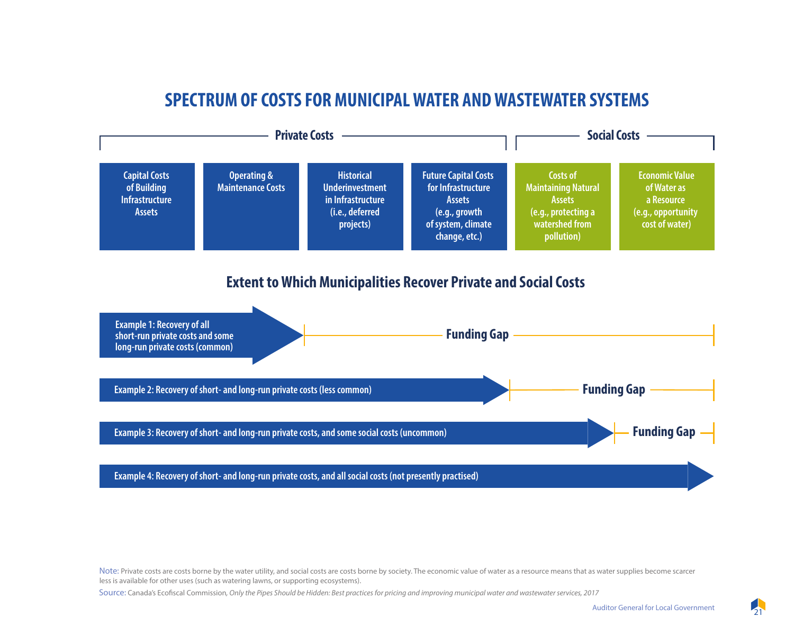### **SPECTRUM OF COSTS FOR MUNICIPAL WATER AND WASTEWATER SYSTEMS**



Note: Private costs are costs borne by the water utility, and social costs are costs borne by society. The economic value of water as a resource means that as water supplies become scarcer less is available for other uses (such as watering lawns, or supporting ecosystems).

Source: Canada's Ecofiscal Commission*, Only the Pipes Should be Hidden: Best practices for pricing and improving municipal water and wastewater services, 2017*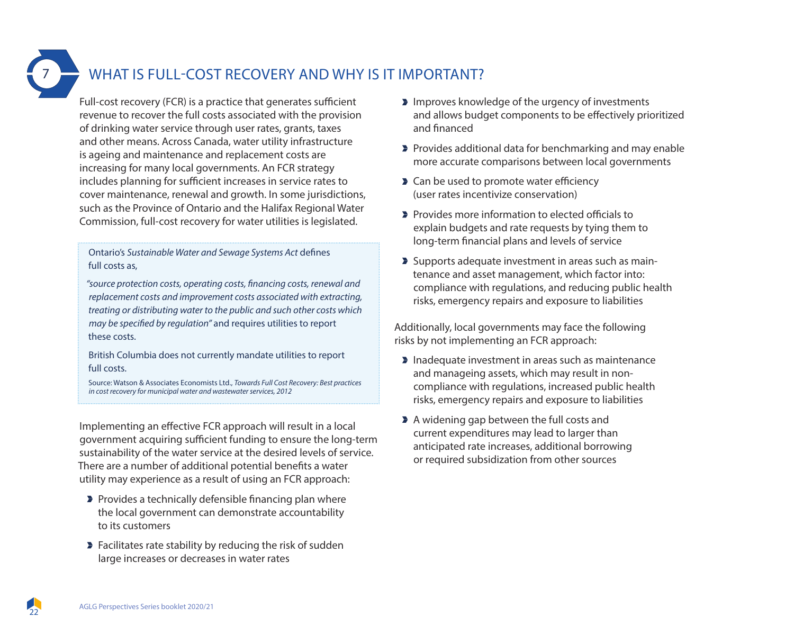### WHAT IS FULL-COST RECOVERY AND WHY IS IT IMPORTANT?

Full-cost recovery (FCR) is a practice that generates sufficient revenue to recover the full costs associated with the provision of drinking water service through user rates, grants, taxes and other means. Across Canada, water utility infrastructure is ageing and maintenance and replacement costs are increasing for many local governments. An FCR strategy includes planning for sufficient increases in service rates to cover maintenance, renewal and growth. In some jurisdictions, such as the Province of Ontario and the Halifax Regional Water Commission, full-cost recovery for water utilities is legislated.

Ontario's *Sustainable Water and Sewage Systems Act* defines full costs as,

*"source protection costs, operating costs, financing costs, renewal and replacement costs and improvement costs associated with extracting, treating or distributing water to the public and such other costs which may be specified by regulation"* and requires utilities to report these costs.

British Columbia does not currently mandate utilities to report full costs.

Source: Watson & Associates Economists Ltd., *Towards Full Cost Recovery: Best practices in cost recovery for municipal water and wastewater services, 2012*

Implementing an effective FCR approach will result in a local government acquiring sufficient funding to ensure the long-term sustainability of the water service at the desired levels of service. There are a number of additional potential benefits a water utility may experience as a result of using an FCR approach:

- **Provides a technically defensible financing plan where** the local government can demonstrate accountability to its customers
- **Facilitates rate stability by reducing the risk of sudden** large increases or decreases in water rates
- **IMPROVES** knowledge of the urgency of investments and allows budget components to be effectively prioritized and financed
- **Provides additional data for benchmarking and may enable** more accurate comparisons between local governments
- **Can be used to promote water efficiency** (user rates incentivize conservation)
- **Provides more information to elected officials to** explain budgets and rate requests by tying them to long-term financial plans and levels of service
- **>** Supports adequate investment in areas such as maintenance and asset management, which factor into: compliance with regulations, and reducing public health risks, emergency repairs and exposure to liabilities

Additionally, local governments may face the following risks by not implementing an FCR approach:

- **Inadequate investment in areas such as maintenance** and manageing assets, which may result in noncompliance with regulations, increased public health risks, emergency repairs and exposure to liabilities
- A widening gap between the full costs and current expenditures may lead to larger than anticipated rate increases, additional borrowing or required subsidization from other sources

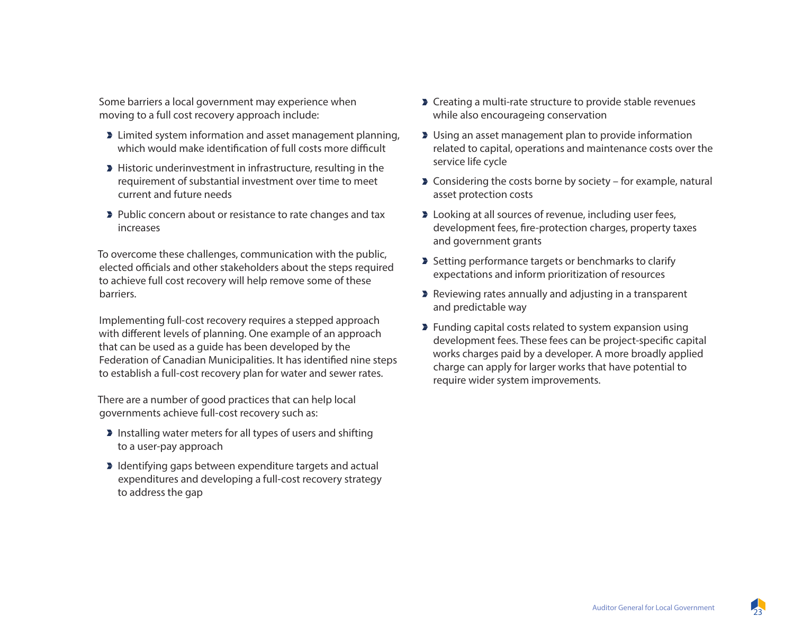Some barriers a local government may experience when moving to a full cost recovery approach include:

- **EXECUTE:** Limited system information and asset management planning, which would make identification of full costs more difficult
- Historic underinvestment in infrastructure, resulting in the requirement of substantial investment over time to meet current and future needs
- **Public concern about or resistance to rate changes and tax** increases

To overcome these challenges, communication with the public, elected officials and other stakeholders about the steps required to achieve full cost recovery will help remove some of these barriers.

Implementing full-cost recovery requires a stepped approach with different levels of planning. One example of an approach that can be used as a guide has been developed by the Federation of Canadian Municipalities. It has identified nine steps to establish a full-cost recovery plan for water and sewer rates.

There are a number of good practices that can help local governments achieve full-cost recovery such as:

- **Installing water meters for all types of users and shifting** to a user-pay approach
- I Identifying gaps between expenditure targets and actual expenditures and developing a full-cost recovery strategy to address the gap
- **Creating a multi-rate structure to provide stable revenues** while also encourageing conservation
- **D** Using an asset management plan to provide information related to capital, operations and maintenance costs over the service life cycle
- **Considering the costs borne by society for example, natural** asset protection costs
- **D** Looking at all sources of revenue, including user fees, development fees, fire-protection charges, property taxes and government grants
- Setting performance targets or benchmarks to clarify expectations and inform prioritization of resources
- **Reviewing rates annually and adjusting in a transparent** and predictable way
- **Funding capital costs related to system expansion using** development fees. These fees can be project-specific capital works charges paid by a developer. A more broadly applied charge can apply for larger works that have potential to require wider system improvements.

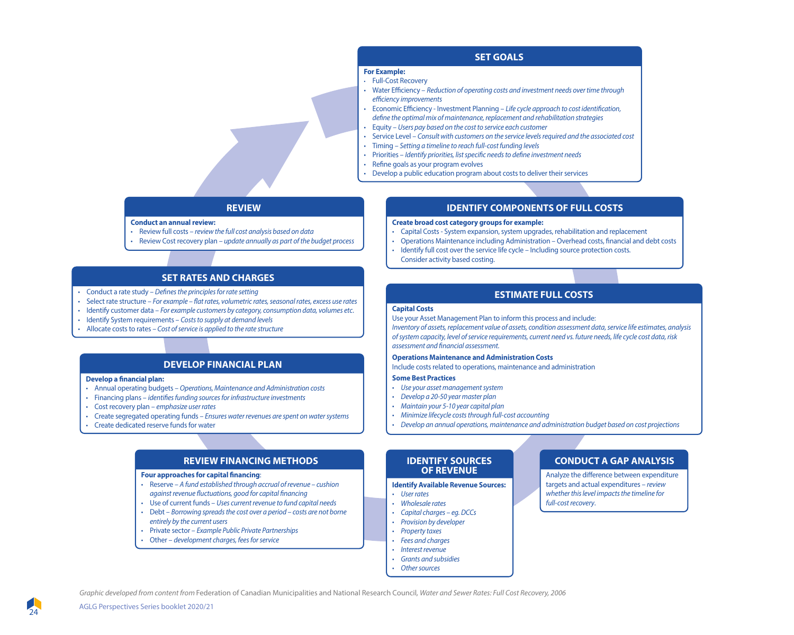#### **SET GOALS**

#### **For Example:**

- Full-Cost Recovery
- Water Efficiency *Reduction of operating costs and investment needs over time through eciency improvements*
- Economic Eciency Investment Planning *Life cycle approach to cost identication, define the optimal mix of maintenance, replacement and rehabilitation strategies*
- Equity *Users pay based on the cost to service each customer*
- Service Level *Consult with customers on the service levels required and the associated cost*
- Timing *Setting a timeline to reach full-cost funding levels*
- Priorities *Identify priorities, list specific needs to define investment needs*
- Refine goals as your program evolves
- Develop a public education program about costs to deliver their services

#### **REVIEW**

**Conduct an annual review:**

- Review full costs *review the full cost analysis based on data*
- Review Cost recovery plan – *update annually as part of the budget process*

#### **SET RATES AND CHARGES**

- Conduct a rate study *Denes the principles for rate setting*
- Select rate structure *For example flat rates, volumetric rates, seasonal rates, excess use rates*
- Identify customer data *For example customers by category, consumption data, volumes etc*.
- Identify System requirements *Costs to supply at demand levels*
- Allocate costs to rates – *Cost of service is applied to the rate structure*

#### **DEVELOP FINANCIAL PLAN**

#### **Develop a financial plan:**

- Annual operating budgets *Operations, Maintenance and Administration costs*
- Financing plans *identies funding sources for infrastructure investments*
- Cost recovery plan *emphasize user rates*
- Create segregated operating funds *Ensures water revenues are spent on water systems*
- Create dedicated reserve funds for water

#### **REVIEW FINANCING METHODS**

#### **Four approaches for capital financing:**

- Reserve *A fund established through accrual of revenue cushion against revenue fluctuations, good for capital financing*
- Use of current funds *Uses current revenue to fund capital needs*
- Debt *Borrowing spreads the cost over a period costs are not borne entirely by the current users*
- Private sector *Example Public Private Partnerships*
- Other *development charges, fees for service*

#### **IDENTIFY COMPONENTS OF FULL COSTS**

**Create broad cost category groups for example:**

- Capital Costs System expansion, system upgrades, rehabilitation and replacement
- Operations Maintenance including Administration Overhead costs, financial and debt costs
- Identify full cost over the service life cycle Including source protection costs.
- Consider activity based costing.

#### **ESTIMATE FULL COSTS**

#### **Capital Costs**

Use your Asset Management Plan to inform this process and include:

*Inventory of assets, replacement value of assets, condition assessment data, service life estimates, analysis of system capacity, level of service requirements, current need vs. future needs, life cycle cost data, risk assessment and nancial assessment.*

#### **Operations Maintenance and Administration Costs**

Include costs related to operations, maintenance and administration

#### **Some Best Practices**

- *Use your asset management system*
- *Develop a 20-50 year master plan*
- *Maintain your 5-10 year capital plan*
- *Minimize lifecycle costs through full-cost accounting*
- *Develop an annual operations, maintenance and administration budget based on cost projections*

#### **IDENTIFY SOURCES OF REVENUE**

**Identify Available Revenue Sources:**

- *User rates*
- *Wholesale rates*
- *Capital charges eg. DCCs • Provision by developer*
- *Property taxes*
- *Fees and charges*
- *Interest revenue*
- *Grants and subsidies*
- *Other sources*

#### **CONDUCT A GAP ANALYSIS**

Analyze the difference between expenditure targets and actual expenditures – *review whether this level impacts the timeline for full-cost recovery*.

*Graphic developed from content from* Federation of Canadian Municipalities and National Research Council*, Water and Sewer Rates: Full Cost Recovery, 2006*

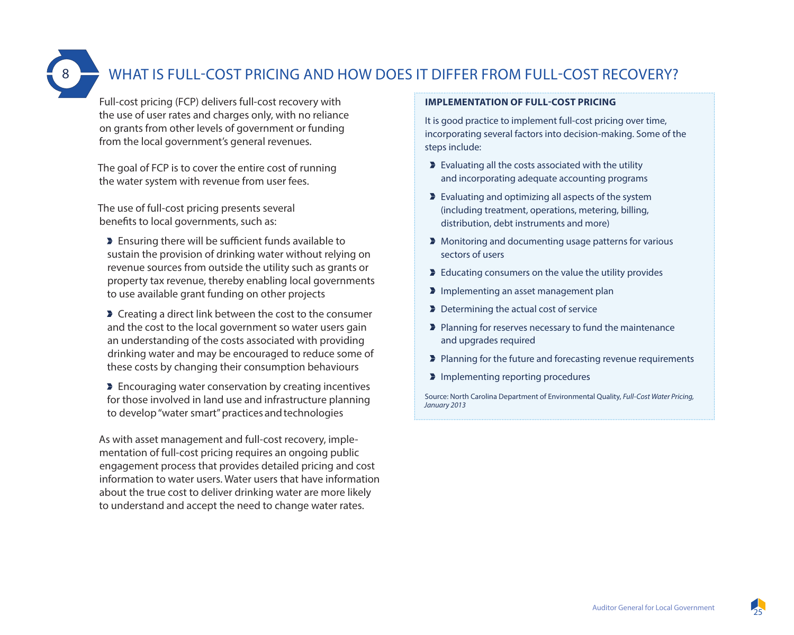### WHAT IS FULL-COST PRICING AND HOW DOES IT DIFFER FROM FULL-COST RECOVERY?

Full-cost pricing (FCP) delivers full-cost recovery with the use of user rates and charges only, with no reliance on grants from other levels of government or funding from the local government's general revenues.

The goal of FCP is to cover the entire cost of running the water system with revenue from user fees.

The use of full-cost pricing presents several benefits to local governments, such as:

Ensuring there will be sufficient funds available to sustain the provision of drinking water without relying on revenue sources from outside the utility such as grants or property tax revenue, thereby enabling local governments to use available grant funding on other projects

**Creating a direct link between the cost to the consumer** and the cost to the local government so water users gain an understanding of the costs associated with providing drinking water and may be encouraged to reduce some of these costs by changing their consumption behaviours

**Encouraging water conservation by creating incentives** for those involved in land use and infrastructure planning to develop "water smart" practices and technologies

As with asset management and full-cost recovery, implementation of full-cost pricing requires an ongoing public engagement process that provides detailed pricing and cost information to water users. Water users that have information about the true cost to deliver drinking water are more likely to understand and accept the need to change water rates.

#### **IMPLEMENTATION OF FULL-COST PRICING**

It is good practice to implement full-cost pricing over time, incorporating several factors into decision-making. Some of the steps include:

- Evaluating all the costs associated with the utility and incorporating adequate accounting programs
- Evaluating and optimizing all aspects of the system (including treatment, operations, metering, billing, distribution, debt instruments and more)
- **Monitoring and documenting usage patterns for various** sectors of users
- **Educating consumers on the value the utility provides**
- Implementing an asset management plan
- Determining the actual cost of service
- **Planning for reserves necessary to fund the maintenance** and upgrades required
- **Planning for the future and forecasting revenue requirements**
- Implementing reporting procedures

Source: North Carolina Department of Environmental Quality, *Full-Cost Water Pricing, January 2013*

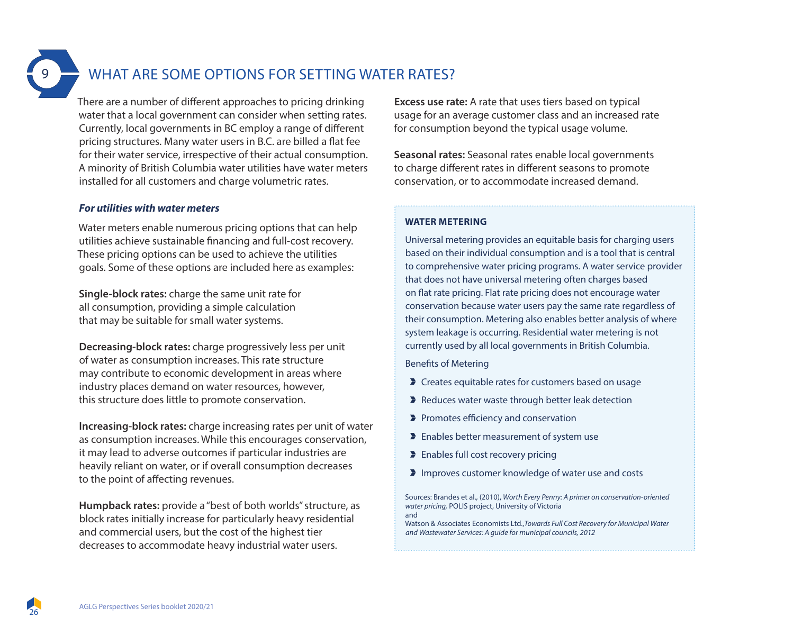### WHAT ARE SOME OPTIONS FOR SETTING WATER RATES?

There are a number of different approaches to pricing drinking water that a local government can consider when setting rates. Currently, local governments in BC employ a range of different pricing structures. Many water users in B.C. are billed a flat fee for their water service, irrespective of their actual consumption. A minority of British Columbia water utilities have water meters installed for all customers and charge volumetric rates.

#### *For utilities with water meters*

Water meters enable numerous pricing options that can help utilities achieve sustainable financing and full-cost recovery. These pricing options can be used to achieve the utilities goals. Some of these options are included here as examples:

**Single-block rates:** charge the same unit rate for all consumption, providing a simple calculation that may be suitable for small water systems.

**Decreasing-block rates:** charge progressively less per unit of water as consumption increases. This rate structure may contribute to economic development in areas where industry places demand on water resources, however, this structure does little to promote conservation.

**Increasing-block rates:** charge increasing rates per unit of water as consumption increases. While this encourages conservation, it may lead to adverse outcomes if particular industries are heavily reliant on water, or if overall consumption decreases to the point of affecting revenues.

**Humpback rates:** provide a "best of both worlds" structure, as block rates initially increase for particularly heavy residential and commercial users, but the cost of the highest tier decreases to accommodate heavy industrial water users.

**Excess use rate:** A rate that uses tiers based on typical usage for an average customer class and an increased rate for consumption beyond the typical usage volume.

**Seasonal rates:** Seasonal rates enable local governments to charge different rates in different seasons to promote conservation, or to accommodate increased demand.

#### **WATER METERING**

Universal metering provides an equitable basis for charging users based on their individual consumption and is a tool that is central to comprehensive water pricing programs. A water service provider that does not have universal metering often charges based on flat rate pricing. Flat rate pricing does not encourage water conservation because water users pay the same rate regardless of their consumption. Metering also enables better analysis of where system leakage is occurring. Residential water metering is not currently used by all local governments in British Columbia.

Benefits of Metering

- **D** Creates equitable rates for customers based on usage
- Reduces water waste through better leak detection
- Promotes efficiency and conservation
- **Enables better measurement of system use**
- **Enables full cost recovery pricing**
- **Improves customer knowledge of water use and costs**

Sources: Brandes et al., (2010), *Worth Every Penny: A primer on conservation-oriented water pricing,* POLIS project, University of Victoria and

Watson & Associates Economists Ltd.,*Towards Full Cost Recovery for Municipal Water and Wastewater Services: A guide for municipal councils, 2012*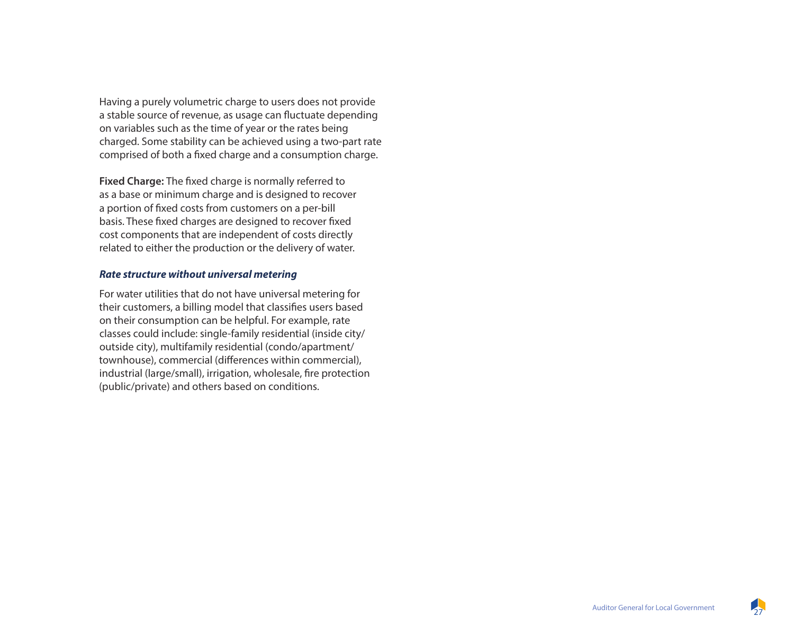Having a purely volumetric charge to users does not provide a stable source of revenue, as usage can fluctuate depending on variables such as the time of year or the rates being charged. Some stability can be achieved using a two-part rate comprised of both a fixed charge and a consumption charge.

**Fixed Charge:** The fixed charge is normally referred to as a base or minimum charge and is designed to recover a portion of fixed costs from customers on a per-bill basis. These fixed charges are designed to recover fixed cost components that are independent of costs directly related to either the production or the delivery of water.

#### *Rate structure without universal metering*

For water utilities that do not have universal metering for their customers, a billing model that classifies users based on their consumption can be helpful. For example, rate classes could include: single-family residential (inside city/ outside city), multifamily residential (condo/apartment/ townhouse), commercial (differences within commercial), industrial (large/small), irrigation, wholesale, fire protection (public/private) and others based on conditions.

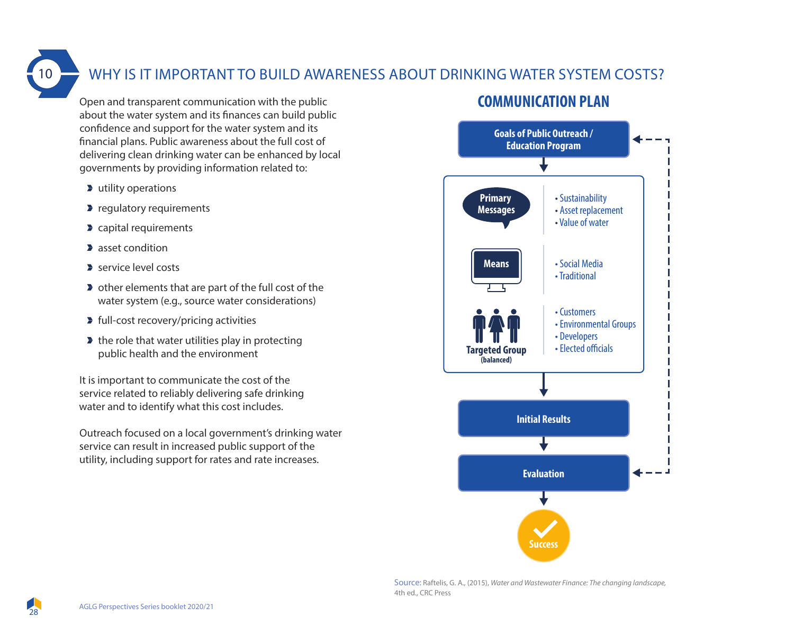### WHY IS IT IMPORTANT TO BUILD AWARENESS ABOUT DRINKING WATER SYSTEM COSTS?

Open and transparent communication with the public about the water system and its finances can build public confidence and support for the water system and its financial plans. Public awareness about the full cost of delivering clean drinking water can be enhanced by local governments by providing information related to:

- **D** utility operations
- **P** regulatory requirements
- **D** capital requirements
- **asset condition**
- service level costs
- **D** other elements that are part of the full cost of the water system (e.g., source water considerations)
- **Full-cost recovery/pricing activities**
- $\blacktriangleright$  the role that water utilities play in protecting public health and the environment

It is important to communicate the cost of the service related to reliably delivering safe drinking water and to identify what this cost includes.

Outreach focused on a local government's drinking water service can result in increased public support of the utility, including support for rates and rate increases.

### **COMMUNICATION PLAN**



Source: Raftelis, G. A., (2015), *Water and Wastewater Finance: The changing landscape,*  4th ed., CRC Press

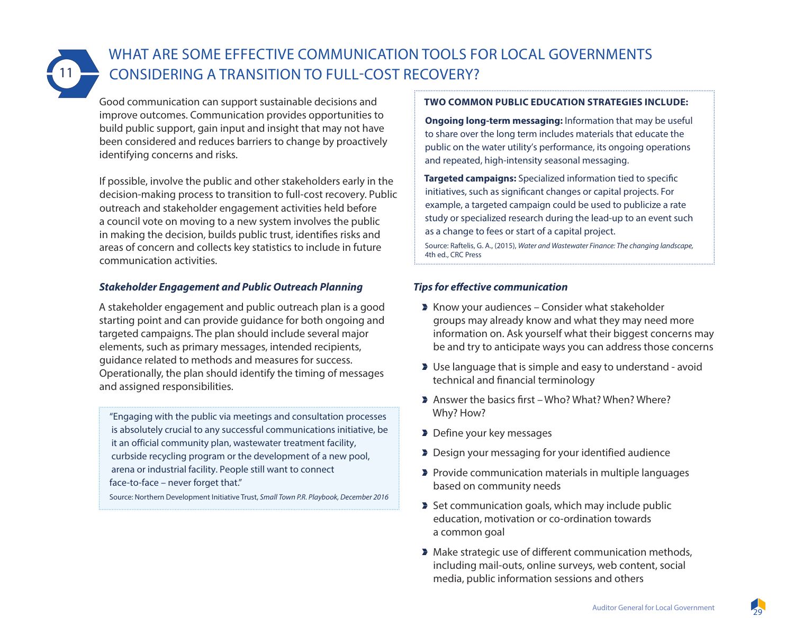

### WHAT ARE SOME EFFECTIVE COMMUNICATION TOOLS FOR LOCAL GOVERNMENTS CONSIDERING A TRANSITION TO FULL-COST RECOVERY?

Good communication can support sustainable decisions and improve outcomes. Communication provides opportunities to build public support, gain input and insight that may not have been considered and reduces barriers to change by proactively identifying concerns and risks.

If possible, involve the public and other stakeholders early in the decision-making process to transition to full-cost recovery. Public outreach and stakeholder engagement activities held before a council vote on moving to a new system involves the public in making the decision, builds public trust, identifies risks and areas of concern and collects key statistics to include in future communication activities.

#### *Stakeholder Engagement and Public Outreach Planning*

A stakeholder engagement and public outreach plan is a good starting point and can provide guidance for both ongoing and targeted campaigns. The plan should include several major elements, such as primary messages, intended recipients, guidance related to methods and measures for success. Operationally, the plan should identify the timing of messages and assigned responsibilities.

"Engaging with the public via meetings and consultation processes is absolutely crucial to any successful communications initiative, be it an official community plan, wastewater treatment facility, curbside recycling program or the development of a new pool, arena or industrial facility. People still want to connect face-to-face – never forget that."

Source: Northern Development Initiative Trust, *Small Town P.R. Playbook, December 2016*

#### **TWO COMMON PUBLIC EDUCATION STRATEGIES INCLUDE:**

**Ongoing long-term messaging:** Information that may be useful to share over the long term includes materials that educate the public on the water utility's performance, its ongoing operations and repeated, high-intensity seasonal messaging.

**Targeted campaigns:** Specialized information tied to specific initiatives, such as significant changes or capital projects. For example, a targeted campaign could be used to publicize a rate study or specialized research during the lead-up to an event such as a change to fees or start of a capital project.

Source: Raftelis, G. A., (2015), *Water and Wastewater Finance: The changing landscape,*  4th ed., CRC Press

#### *Tips for effective communication*

- **K** Know your audiences Consider what stakeholder groups may already know and what they may need more information on. Ask yourself what their biggest concerns may be and try to anticipate ways you can address those concerns
- Use language that is simple and easy to understand avoid technical and financial terminology
- Answer the basics first Who? What? When? Where? Why? How?
- Define your key messages
- Design your messaging for your identified audience
- **Provide communication materials in multiple languages** based on community needs
- Set communication goals, which may include public education, motivation or co-ordination towards a common goal
- $\blacktriangleright$  Make strategic use of different communication methods, including mail-outs, online surveys, web content, social media, public information sessions and others

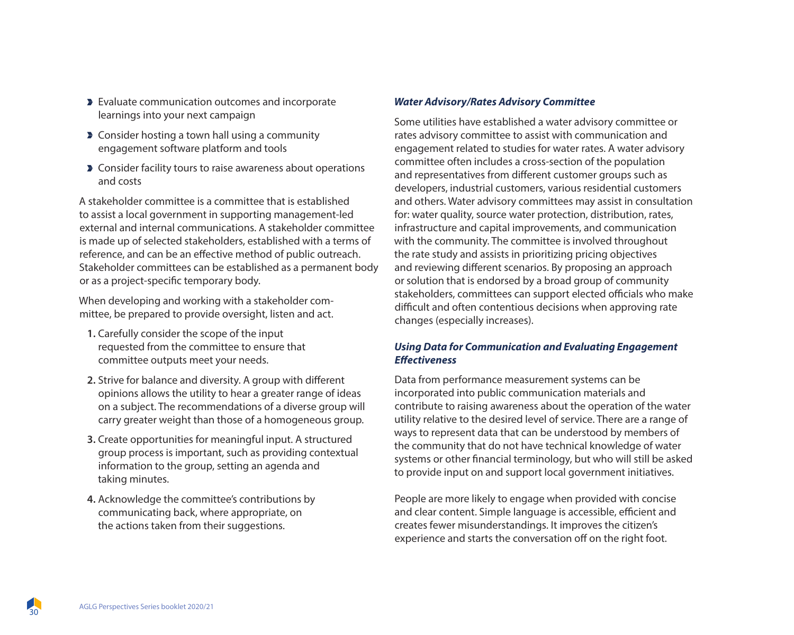- **Evaluate communication outcomes and incorporate** learnings into your next campaign
- **Consider hosting a town hall using a community** engagement software platform and tools
- **Consider facility tours to raise awareness about operations** and costs

A stakeholder committee is a committee that is established to assist a local government in supporting management-led external and internal communications. A stakeholder committee is made up of selected stakeholders, established with a terms of reference, and can be an effective method of public outreach. Stakeholder committees can be established as a permanent body or as a project-specific temporary body.

When developing and working with a stakeholder committee, be prepared to provide oversight, listen and act.

- **1.** Carefully consider the scope of the input requested from the committee to ensure that committee outputs meet your needs.
- **2.** Strive for balance and diversity. A group with different opinions allows the utility to hear a greater range of ideas on a subject. The recommendations of a diverse group will carry greater weight than those of a homogeneous group.
- **3.** Create opportunities for meaningful input. A structured group process is important, such as providing contextual information to the group, setting an agenda and taking minutes.
- **4.** Acknowledge the committee's contributions by communicating back, where appropriate, on the actions taken from their suggestions.

#### *Water Advisory/Rates Advisory Committee*

Some utilities have established a water advisory committee or rates advisory committee to assist with communication and engagement related to studies for water rates. A water advisory committee often includes a cross-section of the population and representatives from different customer groups such as developers, industrial customers, various residential customers and others. Water advisory committees may assist in consultation for: water quality, source water protection, distribution, rates, infrastructure and capital improvements, and communication with the community. The committee is involved throughout the rate study and assists in prioritizing pricing objectives and reviewing different scenarios. By proposing an approach or solution that is endorsed by a broad group of community stakeholders, committees can support elected officials who make difficult and often contentious decisions when approving rate changes (especially increases).

#### *Using Data for Communication and Evaluating Engagement Effectiveness*

Data from performance measurement systems can be incorporated into public communication materials and contribute to raising awareness about the operation of the water utility relative to the desired level of service. There are a range of ways to represent data that can be understood by members of the community that do not have technical knowledge of water systems or other financial terminology, but who will still be asked to provide input on and support local government initiatives.

People are more likely to engage when provided with concise and clear content. Simple language is accessible, efficient and creates fewer misunderstandings. It improves the citizen's experience and starts the conversation off on the right foot.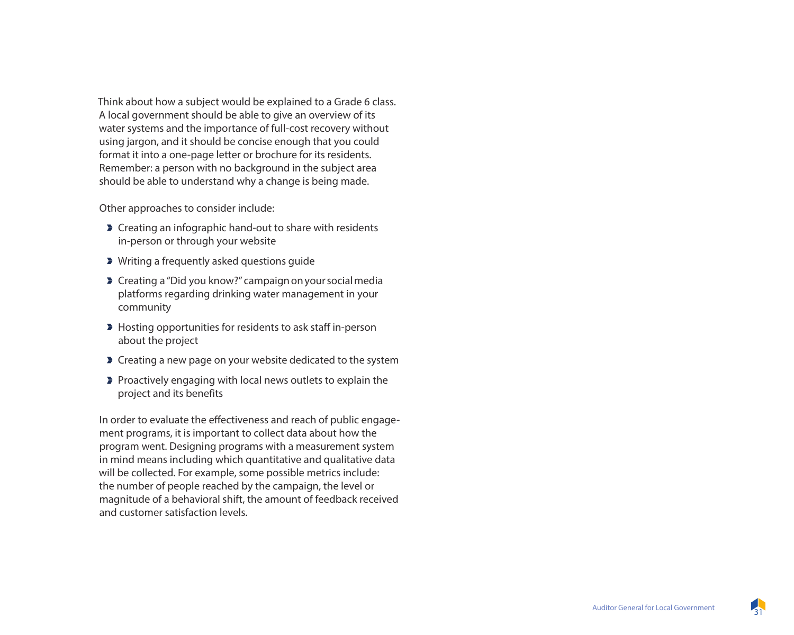Think about how a subject would be explained to a Grade 6 class. A local government should be able to give an overview of its water systems and the importance of full-cost recovery without using jargon, and it should be concise enough that you could format it into a one-page letter or brochure for its residents. Remember: a person with no background in the subject area should be able to understand why a change is being made.

Other approaches to consider include:

- **Creating an infographic hand-out to share with residents** in-person or through your website
- Writing a frequently asked questions guide
- **Creating a "Did you know?" campaign on your social media** platforms regarding drinking water management in your community
- **Hosting opportunities for residents to ask staff in-person** about the project
- **Creating a new page on your website dedicated to the system**
- Proactively enga ging with local news outlets to explain the project and its benefits

In order to evaluate the effectiveness and reach of public engage ment programs, it is important to collect data about how the program went. Designing programs with a measurement system in mind means including which quantitative and qualitative data will be collected. For example, some possible metrics include: the number of people reached by the campaign, the level or magnitude of a behavioral shift, the amount of feedback received and customer satisfaction levels.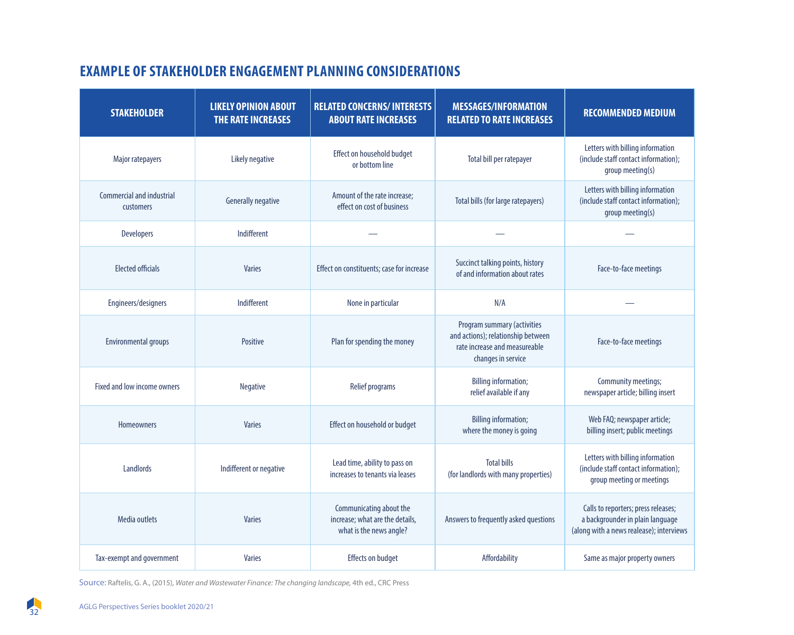### **EXAMPLE OF STAKEHOLDER ENGAGEMENT PLANNING CONSIDERATIONS**

| <b>STAKEHOLDER</b>                            | <b>LIKELY OPINION ABOUT</b><br>THE RATE INCREASES | <b>RELATED CONCERNS/INTERESTS</b><br><b>ABOUT RATE INCREASES</b>                      | <b>MESSAGES/INFORMATION</b><br><b>RELATED TO RATE INCREASES</b>                                                          | <b>RECOMMENDED MEDIUM</b>                                                                                           |
|-----------------------------------------------|---------------------------------------------------|---------------------------------------------------------------------------------------|--------------------------------------------------------------------------------------------------------------------------|---------------------------------------------------------------------------------------------------------------------|
| Major ratepayers                              | Likely negative                                   | Effect on household budget<br>or bottom line                                          | Total bill per ratepayer                                                                                                 | Letters with billing information<br>(include staff contact information);<br>group meeting(s)                        |
| <b>Commercial and industrial</b><br>customers | <b>Generally negative</b>                         | Amount of the rate increase;<br>effect on cost of business                            | Total bills (for large ratepayers)                                                                                       | Letters with billing information<br>(include staff contact information);<br>group meeting(s)                        |
| Developers                                    | Indifferent                                       |                                                                                       |                                                                                                                          |                                                                                                                     |
| <b>Elected officials</b>                      | <b>Varies</b>                                     | Effect on constituents; case for increase                                             | Succinct talking points, history<br>of and information about rates                                                       | Face-to-face meetings                                                                                               |
| Engineers/designers                           | Indifferent                                       | None in particular                                                                    | N/A                                                                                                                      |                                                                                                                     |
| <b>Environmental groups</b>                   | Positive                                          | Plan for spending the money                                                           | Program summary (activities<br>and actions); relationship between<br>rate increase and measureable<br>changes in service | Face-to-face meetings                                                                                               |
| Fixed and low income owners                   | <b>Negative</b>                                   | <b>Relief programs</b>                                                                | <b>Billing information;</b><br>relief available if any                                                                   | Community meetings;<br>newspaper article; billing insert                                                            |
| <b>Homeowners</b>                             | <b>Varies</b>                                     | Effect on household or budget                                                         | <b>Billing information;</b><br>where the money is going                                                                  | Web FAQ; newspaper article;<br>billing insert; public meetings                                                      |
| Landlords                                     | Indifferent or negative                           | Lead time, ability to pass on<br>increases to tenants via leases                      | <b>Total bills</b><br>(for landlords with many properties)                                                               | Letters with billing information<br>(include staff contact information);<br>group meeting or meetings               |
| <b>Media outlets</b>                          | <b>Varies</b>                                     | Communicating about the<br>increase; what are the details,<br>what is the news angle? | Answers to frequently asked questions                                                                                    | Calls to reporters; press releases;<br>a backgrounder in plain language<br>(along with a news realease); interviews |
| Tax-exempt and government                     | <b>Varies</b>                                     | <b>Effects on budget</b>                                                              | Affordability                                                                                                            | Same as major property owners                                                                                       |

Source: Raftelis, G. A., (2015), *Water and Wastewater Finance: The changing landscape,* 4th ed., CRC Press

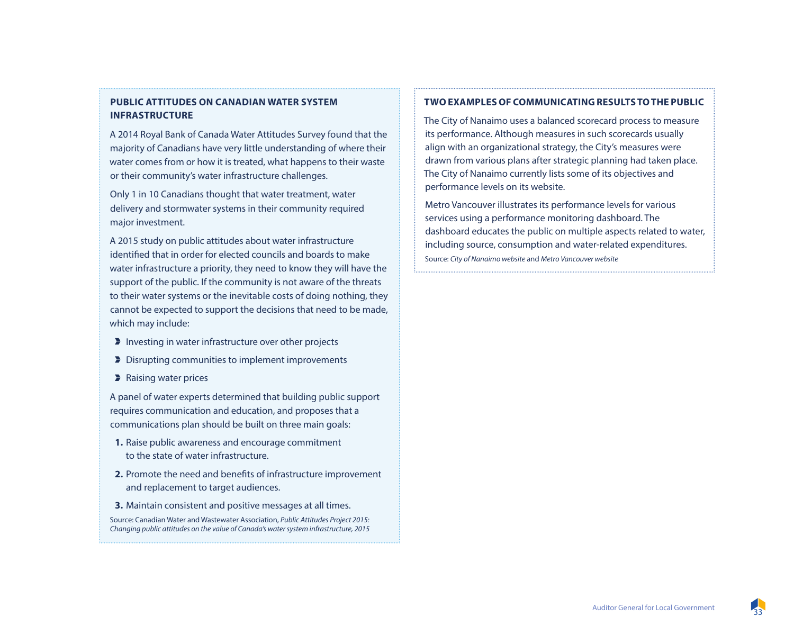#### **PUBLIC ATTITUDES ON CANADIAN WATER SYSTEM INFRASTRUCTURE**

A 2014 Royal Bank of Canada Water Attitudes Survey found that the majority of Canadians have very little understanding of where their water comes from or how it is treated, what happens to their waste or their community's water infrastructure challenges.

Only 1 in 10 Canadians thought that water treatment, water delivery and stormwater systems in their community required major investment.

A 2015 study on public attitudes about water infrastructure identified that in order for elected councils and boards to make water infrastructure a priority, they need to know they will have the support of the public. If the community is not aware of the threats to their water systems or the inevitable costs of doing nothing, they cannot be expected to support the decisions that need to be made, which may include:

- Investing in water infrastructure over other projects
- Disrupting communities to implement improvements
- **A** Raising water prices

A panel of water experts determined that building public support requires communication and education, and proposes that a communications plan should be built on three main goals:

- **1.** Raise public awareness and encourage commitment to the state of water infrastructure.
- **2.** Promote the need and benefits of infrastructure improvement and replacement to target audiences.
- **3.** Maintain consistent and positive messages at all times.

Source: Canadian Water and Wastewater Association, *Public Attitudes Project 2015: Changing public attitudes on the value of Canada's water system infrastructure, 2015*

#### **TWO EXAMPLES OF COMMUNICATING RESULTS TO THE PUBLIC**

The City of Nanaimo uses a balanced scorecard process to measure its performance. Although measures in such scorecards usually align with an organizational strategy, the City's measures were drawn from various plans after strategic planning had taken place. The City of Nanaimo currently lists some of its objectives and performance levels on its website.

Metro Vancouver illustrates its performance levels for various services using a performance monitoring dashboard. The dashboard educates the public on multiple aspects related to water, including source, consumption and water-related expenditures. Source: *City of Nanaimo website* and *Metro Vancouver website*

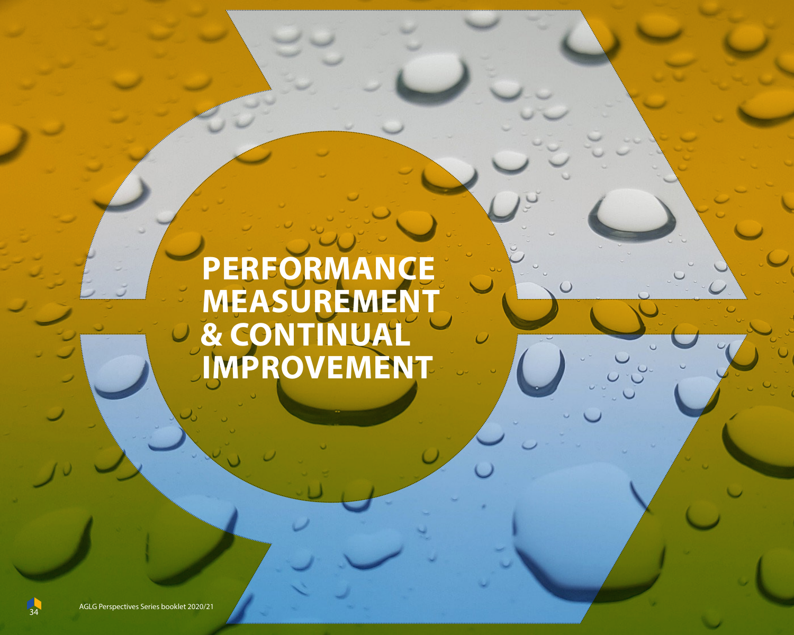# **PERFORMANCE MEASUREMENT & CONTINUAL IMPROVEMENT**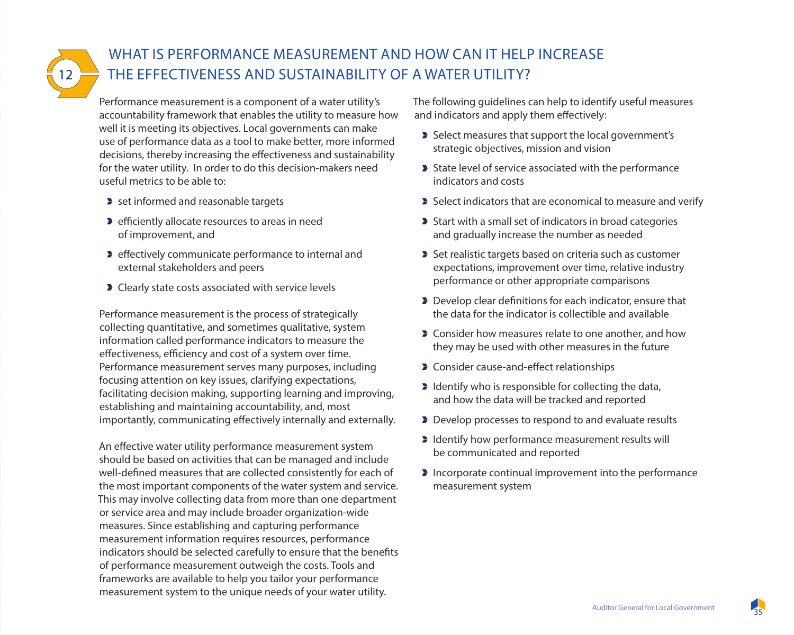12

### WHAT IS PERFORMANCE MEASUREMENT AND HOW CAN IT HELP INCREASE THE EFFECTIVENESS AND SUSTAINABILITY OF A WATER UTILITY?

Performance measurement is a component of a water utility's accountability framework that enables the utility to measure how well it is meeting its objectives. Local governments can make use of performance data as a tool to make better, more informed decisions, thereby increasing the effectiveness and sustainability for the water utility. In order to do this decision-makers need useful metrics to be able to:

- set informed and reasonable targets
- **P** efficiently allocate resources to areas in need of improvement, and
- **Example 2** effectively communicate performance to internal and external stakeholders and peers
- **D** Clearly state costs associated with service levels

Performance measurement is the process of strategically collecting quantitative, and sometimes qualitative, system information called performance indicators to measure the effectiveness, efficiency and cost of a system over time. Performance measurement serves many purposes, including focusing attention on key issues, clarifying expectations, facilitating decision making, supporting learning and improving, establishing and maintaining accountability, and, most importantly, communicating effectively internally and externally.

An effective water utility performance measurement system should be based on activities that can be managed and include well-defined measures that are collected consistently for each of the most important components of the water system and service. This may involve collecting data from more than one department or service area and may include broader organization-wide measures. Since establishing and capturing performance measurement information requires resources, performance indicators should be selected carefully to ensure that the benefits of performance measurement outweigh the costs. Tools and frameworks are available to help you tailor your performance measurement system to the unique needs of your water utility.

The following guidelines can help to identify useful measures and indicators and apply them effectively:

- Select measures that support the local government's strategic objectives, mission and vision
- State level of service associated with the performance indicators and costs
- Select indicators that are economical to measure and verify
- Start with a small set of indicators in broad categories and gradually increase the number as needed
- Set realistic targets based on criteria such as customer expectations, improvement over time, relative industry performance or other appropriate comparisons
- Develop clear definitions for each indicator, ensure that the data for the indicator is collectible and available
- **D** Consider how measures relate to one another, and how they may be used with other measures in the future
- **D** Consider cause-and-effect relationships
- $\blacktriangleright$  Identify who is responsible for collecting the data, and how the data will be tracked and reported
- Develop processes to respond to and evaluate results
- I Identify how performance measurement results will be communicated and reported
- **Incorporate continual improvement into the performance** measurement system

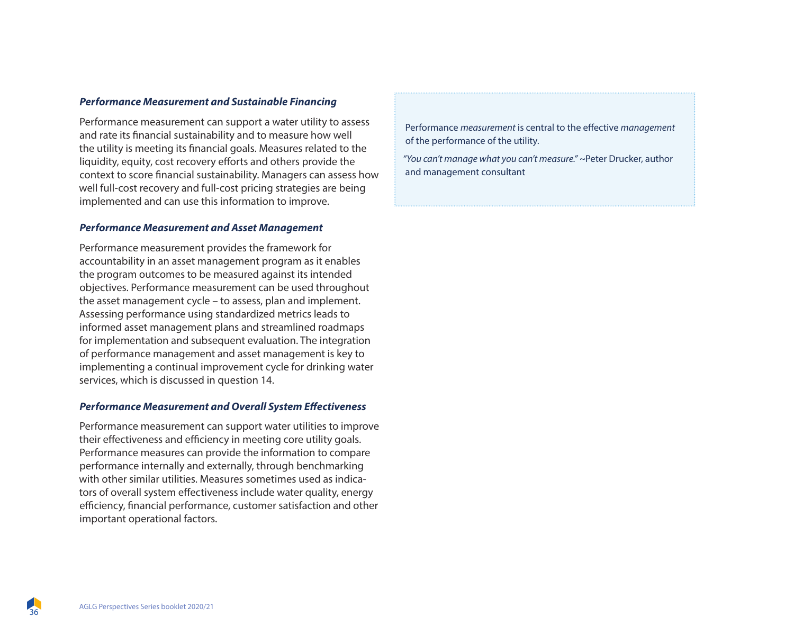#### *Performance Measurement and Sustainable Financing*

Performance measurement can support a water utility to assess and rate its financial sustainability and to measure how well the utility is meeting its financial goals. Measures related to the liquidity, equity, cost recovery efforts and others provide the context to score financial sustainability. Managers can assess how well full-cost recovery and full-cost pricing strategies are being implemented and can use this information to improve.

#### *Performance Measurement and Asset Management*

Performance measurement provides the framework for accountability in an asset management program as it enables the program outcomes to be measured against its intended objectives. Performance measurement can be used throughout the asset management cycle – to assess, plan and implement. Assessing performance using standardized metrics leads to informed asset management plans and streamlined roadmaps for implementation and subsequent evaluation. The integration of performance management and asset management is key to implementing a continual improvement cycle for drinking water services, which is discussed in question 14.

#### *Performance Measurement and Overall System Effectiveness*

Performance measurement can support water utilities to improve their effectiveness and efficiency in meeting core utility goals. Performance measures can provide the information to compare performance internally and externally, through benchmarking with other similar utilities. Measures sometimes used as indicators of overall system effectiveness include water quality, energy efficiency, financial performance, customer satisfaction and other important operational factors.

Performance *measurement* is central to the effective *management* of the performance of the utility.

*"You can't manage what you can't measure." ~*Peter Drucker, author and management consultant

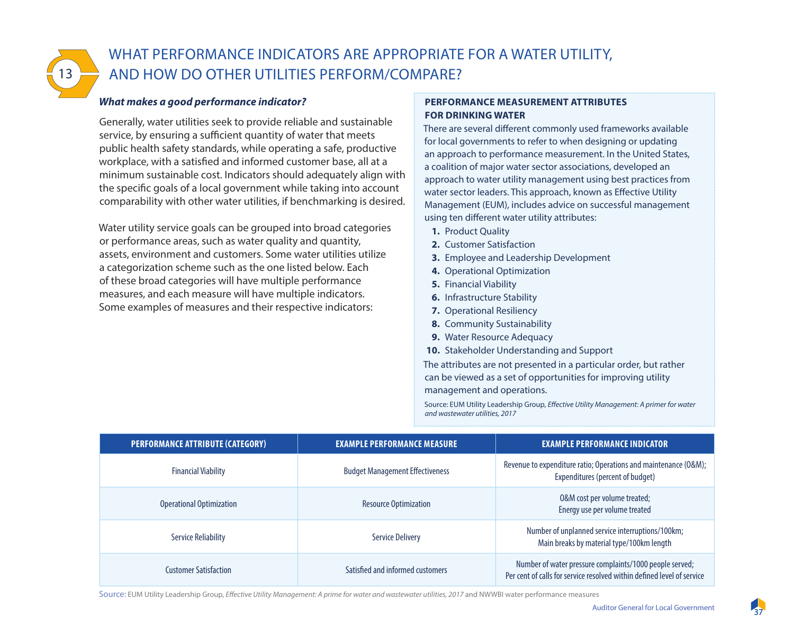

### WHAT PERFORMANCE INDICATORS ARE APPROPRIATE FOR A WATER UTILITY, AND HOW DO OTHER UTILITIES PERFORM/COMPARE?

#### *What makes a good performance indicator?*

Generally, water utilities seek to provide reliable and sustainable service, by ensuring a sufficient quantity of water that meets public health safety standards, while operating a safe, productive workplace, with a satisfied and informed customer base, all at a minimum sustainable cost. Indicators should adequately align with the specific goals of a local government while taking into account comparability with other water utilities, if benchmarking is desired.

Water utility service goals can be grouped into broad categories or performance areas, such as water quality and quantity, assets, environment and customers. Some water utilities utilize a categorization scheme such as the one listed below. Each of these broad categories will have multiple performance measures, and each measure will have multiple indicators. Some examples of measures and their respective indicators:

#### **PERFORMANCE MEASUREMENT ATTRIBUTES FOR DRINKING WATER**

There are several different commonly used frameworks available for local governments to refer to when designing or updating an approach to performance measurement. In the United States, a coalition of major water sector associations, developed an approach to water utility management using best practices from water sector leaders. This approach, known as Effective Utility Management (EUM), includes advice on successful management using ten different water utility attributes:

- **1.** Product Quality
- **2.** Customer Satisfaction
- **3.** Employee and Leadership Development
- **4.** Operational Optimization
- **5.** Financial Viability
- **6.** Infrastructure Stability
- **7.** Operational Resiliency
- **8.** Community Sustainability
- **9.** Water Resource Adequacy
- **10.** Stakeholder Understanding and Support

The attributes are not presented in a particular order, but rather can be viewed as a set of opportunities for improving utility management and operations.

Source: EUM Utility Leadership Group, *Effective Utility Management: A primer for water and wastewater utilities, 2017*

| PERFORMANCE ATTRIBUTE (CATEGORY) | <b>EXAMPLE PERFORMANCE MEASURE</b>     | <b>EXAMPLE PERFORMANCE INDICATOR</b>                                                                                              |
|----------------------------------|----------------------------------------|-----------------------------------------------------------------------------------------------------------------------------------|
| <b>Financial Viability</b>       | <b>Budget Management Effectiveness</b> | Revenue to expenditure ratio; Operations and maintenance (O&M);<br>Expenditures (percent of budget)                               |
| <b>Operational Optimization</b>  | <b>Resource Optimization</b>           | 0&M cost per volume treated;<br>Energy use per volume treated                                                                     |
| <b>Service Reliability</b>       | <b>Service Delivery</b>                | Number of unplanned service interruptions/100km;<br>Main breaks by material type/100km length                                     |
| <b>Customer Satisfaction</b>     | Satisfied and informed customers       | Number of water pressure complaints/1000 people served;<br>Per cent of calls for service resolved within defined level of service |

Source: EUM Utility Leadership Group, *Effective Utility Management: A prime for water and wastewater utilities, 2017* and NWWBI water performance measures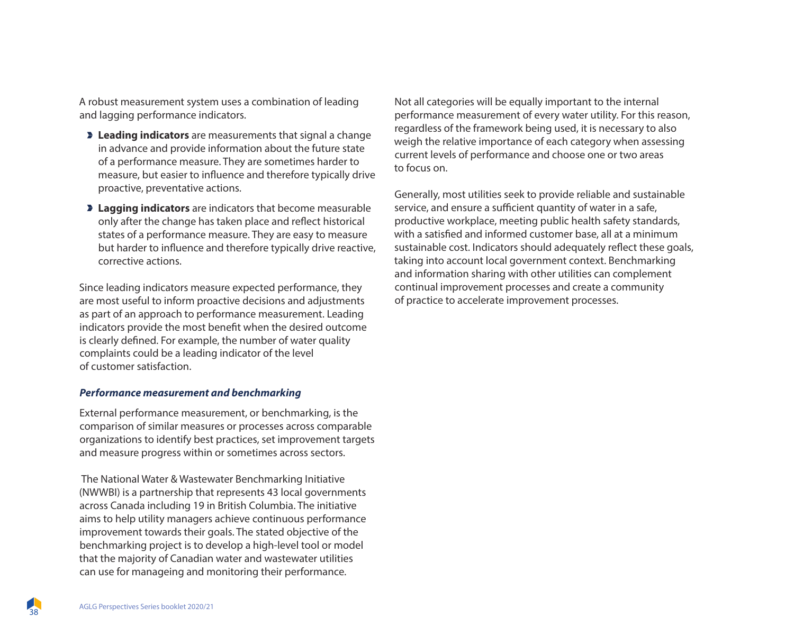A robust measurement system uses a combination of leading and lagging performance indicators.

- **Leading indicators** are measurements that signal a change in advance and provide information about the future state of a performance measure. They are sometimes harder to measure, but easier to influence and therefore typically drive proactive, preventative actions.
- **Lagging indicators** are indicators that become measurable only after the change has taken place and reflect historical states of a performance measure. They are easy to measure but harder to influence and therefore typically drive reactive, corrective actions.

Since leading indicators measure expected performance, they are most useful to inform proactive decisions and adjustments as part of an approach to performance measurement. Leading indicators provide the most benefit when the desired outcome is clearly defined. For example, the number of water quality complaints could be a leading indicator of the level of customer satisfaction.

#### *Performance measurement and benchmarking*

External performance measurement, or benchmarking, is the comparison of similar measures or processes across comparable organizations to identify best practices, set improvement targets and measure progress within or sometimes across sectors.

 The National Water & Wastewater Benchmarking Initiative (NWWBI) is a partnership that represents 43 local governments across Canada including 19 in British Columbia. The initiative aims to help utility managers achieve continuous performance improvement towards their goals. The stated objective of the benchmarking project is to develop a high-level tool or model that the majority of Canadian water and wastewater utilities can use for manageing and monitoring their performance.

Not all categories will be equally important to the internal performance measurement of every water utility. For this reason, regardless of the framework being used, it is necessary to also weigh the relative importance of each category when assessing current levels of performance and choose one or two areas to focus on.

Generally, most utilities seek to provide reliable and sustainable service, and ensure a sufficient quantity of water in a safe, productive workplace, meeting public health safety standards, with a satisfied and informed customer base, all at a minimum sustainable cost. Indicators should adequately reflect these goals, taking into account local government context. Benchmarking and information sharing with other utilities can complement continual improvement processes and create a community of practice to accelerate improvement processes.

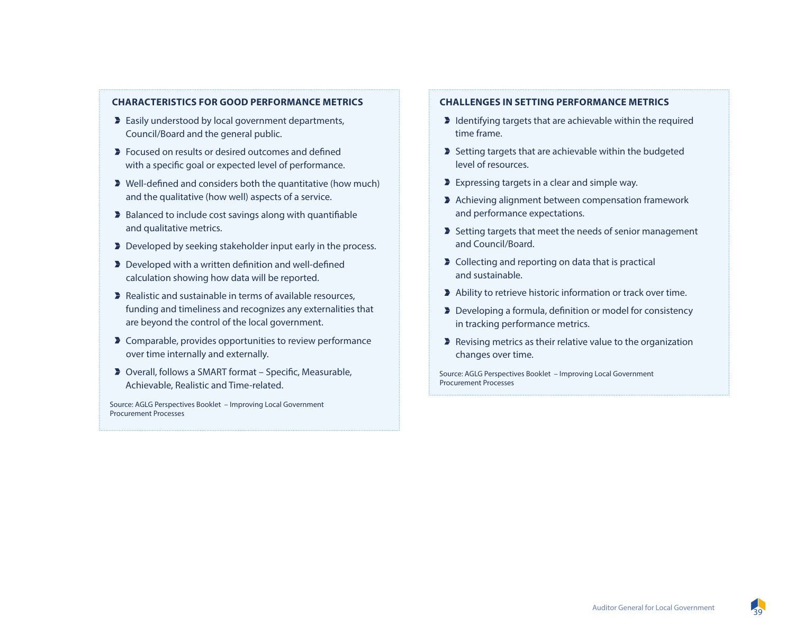#### **CHARACTERISTICS FOR GOOD PERFORMANCE METRICS**

- **Easily understood by local government departments,** Council/Board and the general public.
- **Focused on results or desired outcomes and defined** with a specific goal or expected level of performance.
- Well-defined and considers both the quantitative (how much) and the qualitative (how well) aspects of a service.
- **Balanced to include cost savings along with quantifiable** and qualitative metrics.
- Developed by seeking stakeholder input early in the process.
- **Developed with a written definition and well-defined** calculation showing how data will be reported.
- Realistic and sustainable in terms of available resources, funding and timeliness and recognizes any externalities that are beyond the control of the local government.
- **D** Comparable, provides opportunities to review performance over time internally and externally.
- Overall, follows a SMART format Specific, Measurable, Achievable, Realistic and Time-related.

Source: AGLG Perspectives Booklet – Improving Local Government Procurement Processes

#### **CHALLENGES IN SETTING PERFORMANCE METRICS**

- I Identifying targets that are achievable within the required time frame.
- $\blacktriangleright$  Setting targets that are achievable within the budgeted level of resources.
- **Expressing targets in a clear and simple way.**
- Achieving alignment between compensation framework and performance expectations.
- Setting targets that meet the needs of senior management and Council/Board.
- **D** Collecting and reporting on data that is practical and sustainable.
- Ability to retrieve historic information or track over time.
- Developing a formula, definition or model for consistency in tracking performance metrics.
- $\blacktriangleright$  Revising metrics as their relative value to the organization changes over time.

Source: AGLG Perspectives Booklet – Improving Local Government Procurement Processes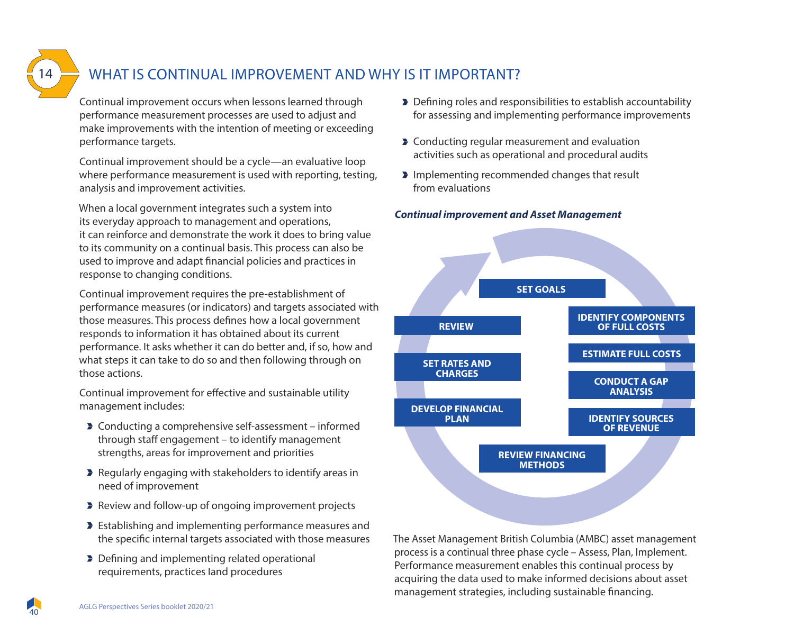

### WHAT IS CONTINUAL IMPROVEMENT AND WHY IS IT IMPORTANT?

Continual improvement occurs when lessons learned through performance measurement processes are used to adjust and make improvements with the intention of meeting or exceeding performance targets.

Continual improvement should be a cycle—an evaluative loop where performance measurement is used with reporting, testing, analysis and improvement activities.

When a local government integrates such a system into its everyday approach to management and operations, it can reinforce and demonstrate the work it does to bring value to its community on a continual basis. This process can also be used to improve and adapt financial policies and practices in response to changing conditions.

Continual improvement requires the pre-establishment of performance measures (or indicators) and targets associated with those measures. This process defines how a local government responds to information it has obtained about its current performance. It asks whether it can do better and, if so, how and what steps it can take to do so and then following through on those actions.

Continual improvement for effective and sustainable utility management includes:

- Conducting a comprehensive self-assessment informed through staff engagement – to identify management strengths, areas for improvement and priorities
- **Regularly engaging with stakeholders to identify areas in** need of improvement
- **Review and follow-up of ongoing improvement projects**
- **Establishing and implementing performance measures and** the specific internal targets associated with those measures
- Defining and implementing related operational requirements, practices Iand procedures
- Defining roles and responsibilities to establish accountability for assessing and implementing performance improvements
- **D** Conducting regular measurement and evaluation activities such as operational and procedural audits
- **Implementing recommended changes that result** from evaluations

#### *Continual improvement and Asset Management*



The Asset Management British Columbia (AMBC) asset management process is a continual three phase cycle – Assess, Plan, Implement. Performance measurement enables this continual process by acquiring the data used to make informed decisions about asset management strategies, including sustainable financing.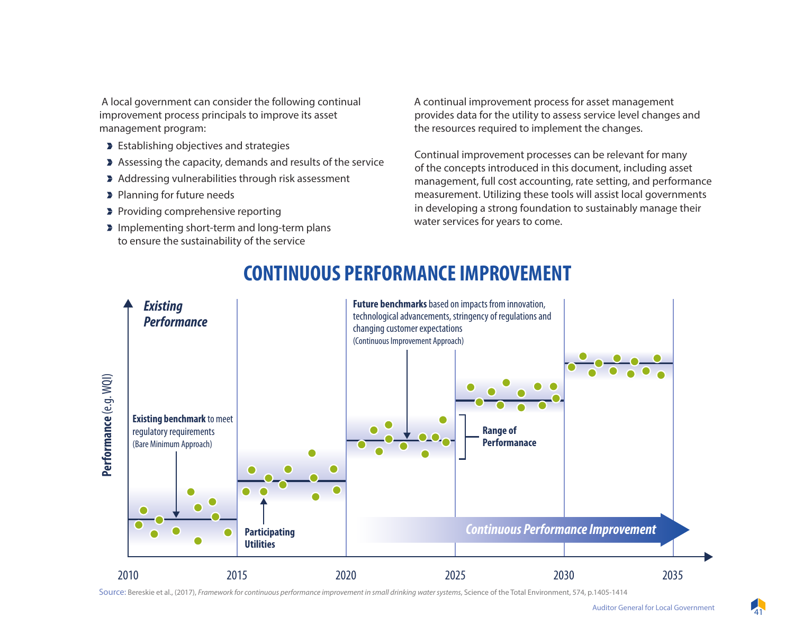A local government can consider the following continual improvement process principals to improve its asset management program:

- **Establishing objectives and strategies**
- Assessing the capacity, demands and results of the service
- Addressing vulnerabilities through risk assessment
- **Planning for future needs**
- **Providing comprehensive reporting**
- Implementing short-term and long-term plans to ensure the sustainability of the service

A continual improvement process for asset management provides data for the utility to assess service level changes and the resources required to implement the changes.

Continual improvement processes can be relevant for many of the concepts introduced in this document, including asset management, full cost accounting, rate setting, and performance measurement. Utilizing these tools will assist local governments in developing a strong foundation to sustainably manage their water services for years to come.



## **CONTINUOUS PERFORMANCE IMPROVEMENT CONTINUOUS PERFORMANCE IMPROVEMENT**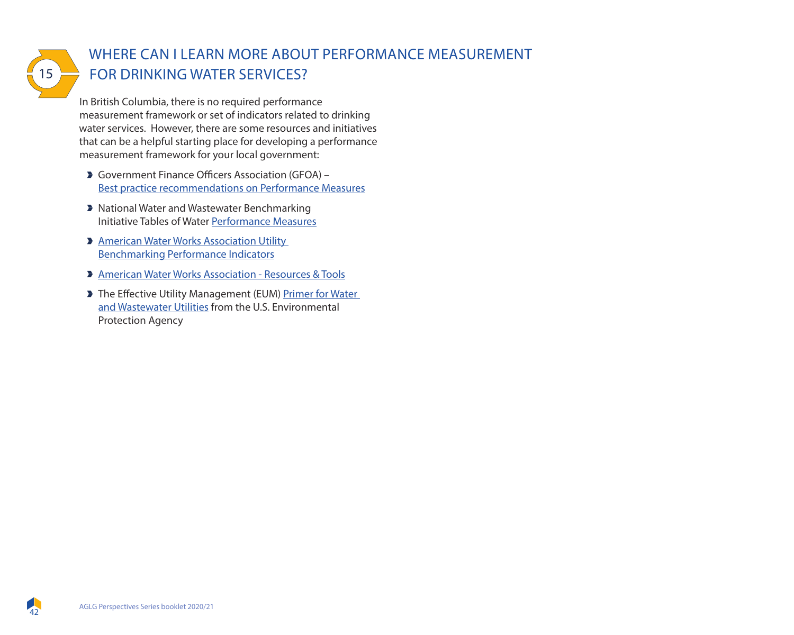

### WHERE CAN I LEARN MORE ABOUT PERFORMANCE MEASUREMENT FOR DRINKING WATER SERVICES?

In British Columbia, there is no required performance measurement framework or set of indicators related to drinking water services. However, there are some resources and initiatives that can be a helpful starting place for developing a performance measurement framework for your local government:

- Government Finance Officers Association (GFOA) Best practice recommendations on Performance Measures
- **> National Water and Wastewater Benchmarking** Initiative Tables of Water Performance Measures
- **American Water Works Association Utility** Benchmarking Performance Indicators
- American Water Works Association Resources & Tools
- The Effective Utility Management (EUM) Primer for Water and Wastewater Utilities from the U.S. Environmental Protection Agency